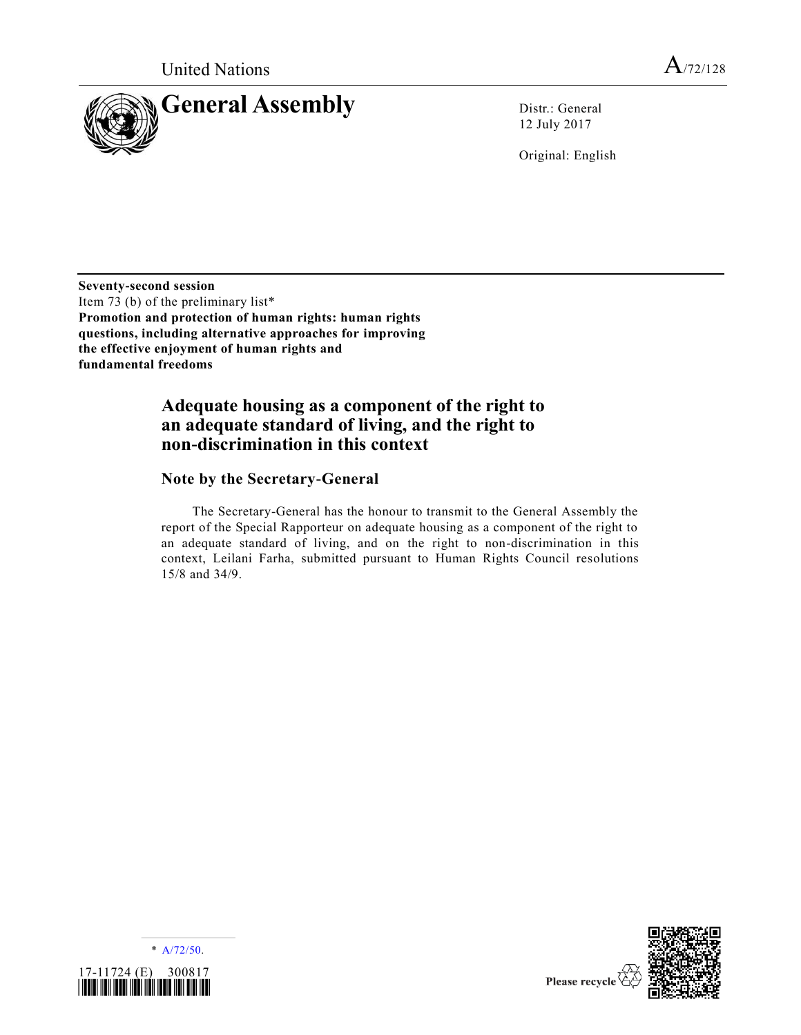

12 July 2017

Original: English

**Seventy-second session** Item 73 (b) of the preliminary list\* **Promotion and protection of human rights: human rights questions, including alternative approaches for improving the effective enjoyment of human rights and fundamental freedoms**

## **Adequate housing as a component of the right to an adequate standard of living, and the right to non-discrimination in this context**

### **Note by the Secretary-General**

The Secretary-General has the honour to transmit to the General Assembly the report of the Special Rapporteur on adequate housing as a component of the right to an adequate standard of living, and on the right to non-discrimination in this context, Leilani Farha, submitted pursuant to Human Rights Council resolutions 15/8 and 34/9.



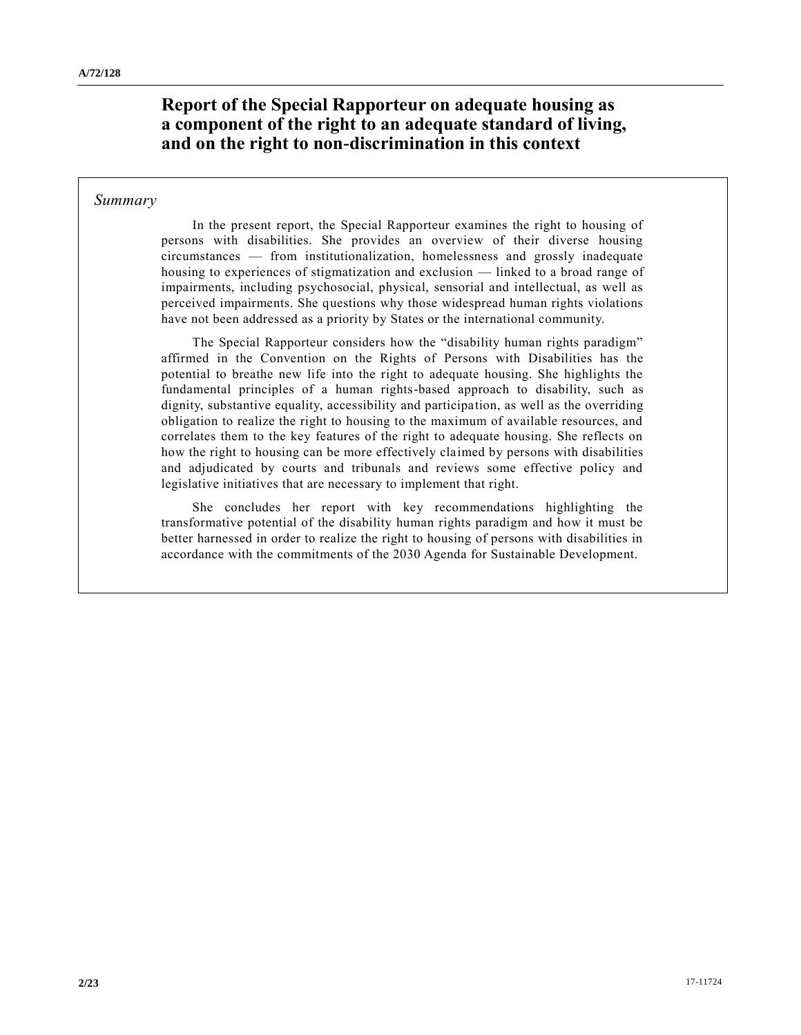### **Report of the Special Rapporteur on adequate housing as a component of the right to an adequate standard of living, and on the right to non-discrimination in this context**

### *Summary*

In the present report, the Special Rapporteur examines the right to housing of persons with disabilities. She provides an overview of their diverse housing circumstances — from institutionalization, homelessness and grossly inadequate housing to experiences of stigmatization and exclusion — linked to a broad range of impairments, including psychosocial, physical, sensorial and intellectual, as well as perceived impairments. She questions why those widespread human rights violations have not been addressed as a priority by States or the international community.

The Special Rapporteur considers how the "disability human rights paradigm" affirmed in the Convention on the Rights of Persons with Disabilities has the potential to breathe new life into the right to adequate housing. She highlights the fundamental principles of a human rights-based approach to disability, such as dignity, substantive equality, accessibility and participation, as well as the overriding obligation to realize the right to housing to the maximum of available resources, and correlates them to the key features of the right to adequate housing. She reflects on how the right to housing can be more effectively claimed by persons with disabilities and adjudicated by courts and tribunals and reviews some effective policy and legislative initiatives that are necessary to implement that right.

She concludes her report with key recommendations highlighting the transformative potential of the disability human rights paradigm and how it must be better harnessed in order to realize the right to housing of persons with disabilities in accordance with the commitments of the 2030 Agenda for Sustainable Development.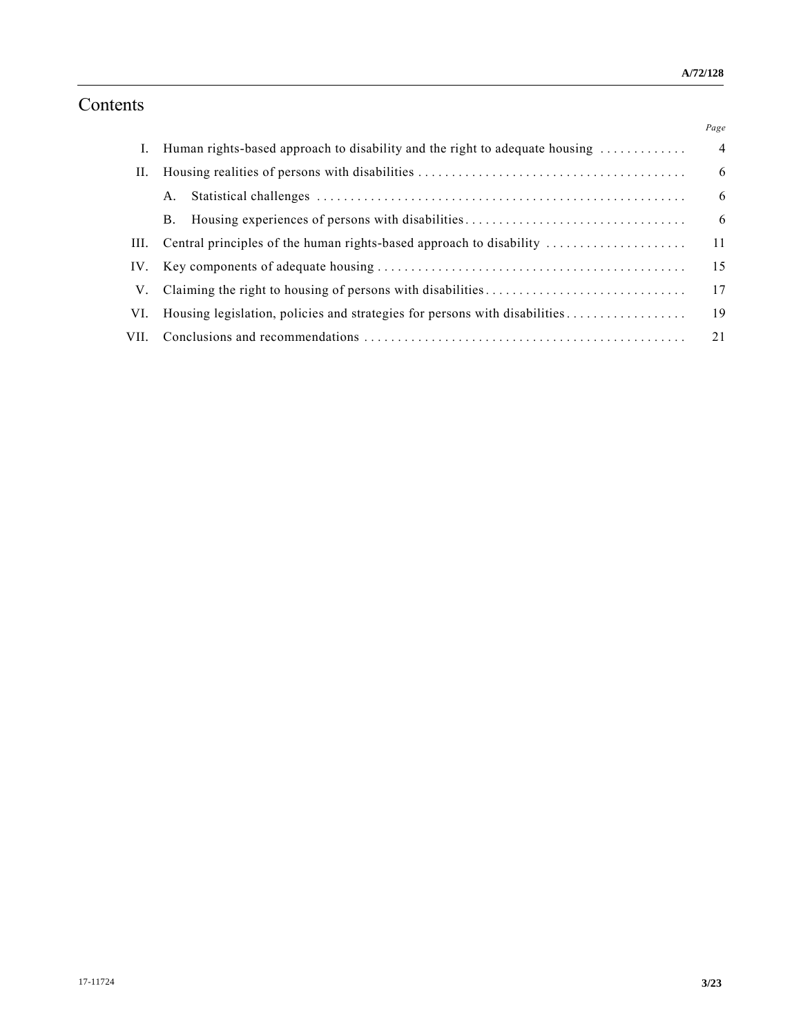# Contents

|      |                                                                             | Page           |
|------|-----------------------------------------------------------------------------|----------------|
|      | Human rights-based approach to disability and the right to adequate housing | $\overline{4}$ |
| П.   |                                                                             | 6              |
|      | A.                                                                          | 6              |
|      | Housing experiences of persons with disabilities<br><b>B.</b>               | 6              |
| III. | Central principles of the human rights-based approach to disability         | 11             |
| IV.  |                                                                             | 15             |
| V.   |                                                                             | 17             |
| VI.  | Housing legislation, policies and strategies for persons with disabilities  | 19             |
| VII. |                                                                             | 21             |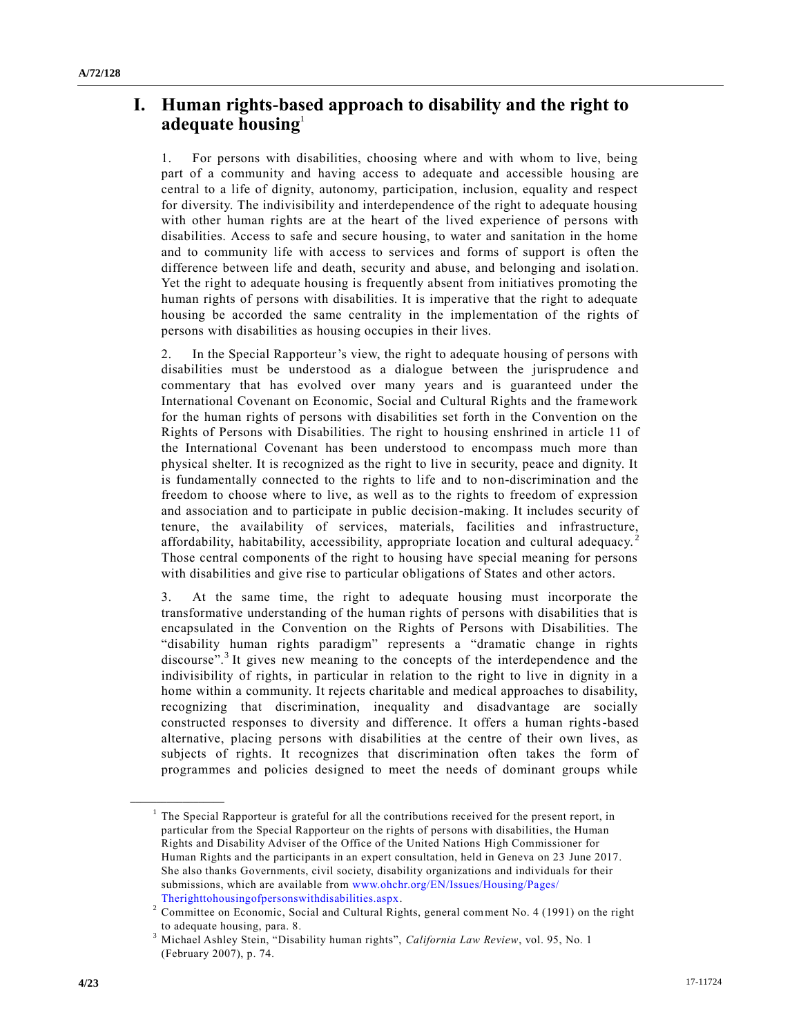## **I. Human rights-based approach to disability and the right to adequate housing**<sup>1</sup>

1. For persons with disabilities, choosing where and with whom to live, being part of a community and having access to adequate and accessible housing are central to a life of dignity, autonomy, participation, inclusion, equality and respect for diversity. The indivisibility and interdependence of the right to adequate housing with other human rights are at the heart of the lived experience of persons with disabilities. Access to safe and secure housing, to water and sanitation in the home and to community life with access to services and forms of support is often the difference between life and death, security and abuse, and belonging and isolati on. Yet the right to adequate housing is frequently absent from initiatives promoting the human rights of persons with disabilities. It is imperative that the right to adequate housing be accorded the same centrality in the implementation of the rights of persons with disabilities as housing occupies in their lives.

2. In the Special Rapporteur's view, the right to adequate housing of persons with disabilities must be understood as a dialogue between the jurisprudence and commentary that has evolved over many years and is guaranteed under the International Covenant on Economic, Social and Cultural Rights and the framework for the human rights of persons with disabilities set forth in the Convention on the Rights of Persons with Disabilities. The right to housing enshrined in article 11 of the International Covenant has been understood to encompass much more than physical shelter. It is recognized as the right to live in security, peace and dignity. It is fundamentally connected to the rights to life and to non-discrimination and the freedom to choose where to live, as well as to the rights to freedom of expression and association and to participate in public decision-making. It includes security of tenure, the availability of services, materials, facilities and infrastructure, affordability, habitability, accessibility, appropriate location and cultural adequacy.<sup>2</sup> Those central components of the right to housing have special meaning for persons with disabilities and give rise to particular obligations of States and other actors.

3. At the same time, the right to adequate housing must incorporate the transformative understanding of the human rights of persons with disabilities that is encapsulated in the Convention on the Rights of Persons with Disabilities. The "disability human rights paradigm" represents a "dramatic change in rights discourse".<sup>3</sup> It gives new meaning to the concepts of the interdependence and the indivisibility of rights, in particular in relation to the right to live in dignity in a home within a community. It rejects charitable and medical approaches to disability, recognizing that discrimination, inequality and disadvantage are socially constructed responses to diversity and difference. It offers a human rights-based alternative, placing persons with disabilities at the centre of their own lives, as subjects of rights. It recognizes that discrimination often takes the form of programmes and policies designed to meet the needs of dominant groups while

 $<sup>1</sup>$  The Special Rapporteur is grateful for all the contributions received for the present report, in</sup> particular from the Special Rapporteur on the rights of persons with disabilities, the Human Rights and Disability Adviser of the Office of the United Nations High Commissioner for Human Rights and the participants in an expert consultation, held in Geneva on 23 June 2017. She also thanks Governments, civil society, disability organizations and individuals for their submissions, which are available from [www.ohchr.org/EN/Issues/Housing/Pages/](http://www.ohchr.org/EN/Issues/Housing/Pages/Therighttohousingofpersonswithdisabilities.aspx) [Therighttohousingofpersonswithdisabilities.aspx.](http://www.ohchr.org/EN/Issues/Housing/Pages/Therighttohousingofpersonswithdisabilities.aspx)

<sup>2</sup> Committee on Economic, Social and Cultural Rights, general comment No. 4 (1991) on the right to adequate housing, para. 8.

<sup>3</sup> Michael Ashley Stein, "Disability human rights", *California Law Review*, vol. 95, No. 1 (February 2007), p. 74.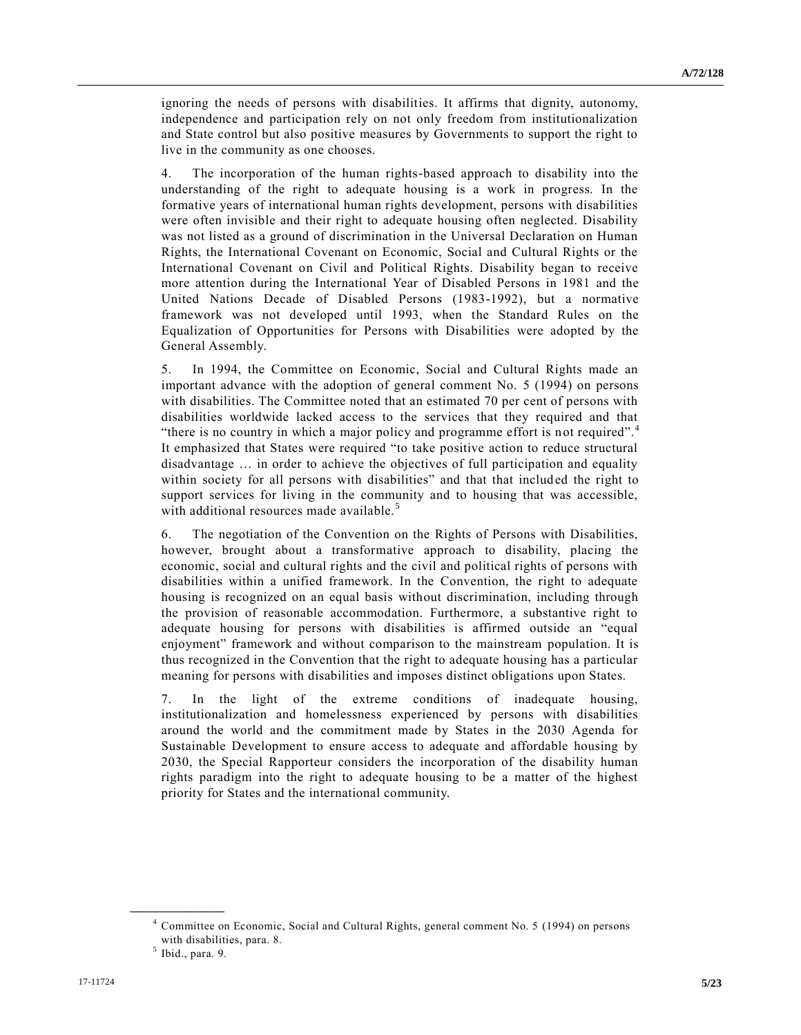ignoring the needs of persons with disabilities. It affirms that dignity, autonomy, independence and participation rely on not only freedom from institutionalization and State control but also positive measures by Governments to support the right to live in the community as one chooses.

4. The incorporation of the human rights-based approach to disability into the understanding of the right to adequate housing is a work in progress. In the formative years of international human rights development, persons with disabilities were often invisible and their right to adequate housing often neglected. Disability was not listed as a ground of discrimination in the Universal Declaration on Human Rights, the International Covenant on Economic, Social and Cultural Rights or the International Covenant on Civil and Political Rights. Disability began to receive more attention during the International Year of Disabled Persons in 1981 and the United Nations Decade of Disabled Persons (1983-1992), but a normative framework was not developed until 1993, when the Standard Rules on the Equalization of Opportunities for Persons with Disabilities were adopted by the General Assembly.

5. In 1994, the Committee on Economic, Social and Cultural Rights made an important advance with the adoption of general comment No. 5 (1994) on persons with disabilities. The Committee noted that an estimated 70 per cent of persons with disabilities worldwide lacked access to the services that they required and that "there is no country in which a major policy and programme effort is not required".<sup>4</sup> It emphasized that States were required "to take positive action to reduce structural disadvantage … in order to achieve the objectives of full participation and equality within society for all persons with disabilities" and that that included the right to support services for living in the community and to housing that was accessible, with additional resources made available.<sup>5</sup>

6. The negotiation of the Convention on the Rights of Persons with Disabilities, however, brought about a transformative approach to disability, placing the economic, social and cultural rights and the civil and political rights of persons with disabilities within a unified framework. In the Convention, the right to adequate housing is recognized on an equal basis without discrimination, including through the provision of reasonable accommodation. Furthermore, a substantive right to adequate housing for persons with disabilities is affirmed outside an "equal enjoyment" framework and without comparison to the mainstream population. It is thus recognized in the Convention that the right to adequate housing has a particular meaning for persons with disabilities and imposes distinct obligations upon States.

7. In the light of the extreme conditions of inadequate housing, institutionalization and homelessness experienced by persons with disabilities around the world and the commitment made by States in the 2030 Agenda for Sustainable Development to ensure access to adequate and affordable housing by 2030, the Special Rapporteur considers the incorporation of the disability human rights paradigm into the right to adequate housing to be a matter of the highest priority for States and the international community.

<sup>4</sup> Committee on Economic, Social and Cultural Rights, general comment No. 5 (1994) on persons with disabilities, para. 8.

 $<sup>5</sup>$  Ibid., para. 9.</sup>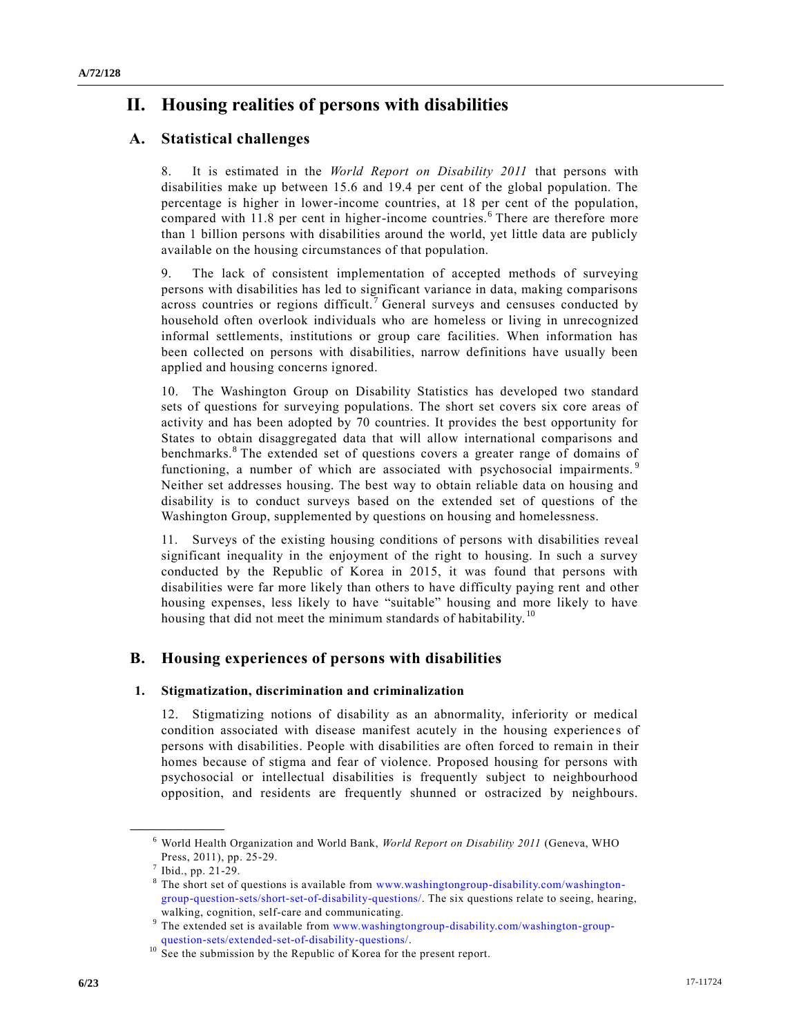#### **A/72/128**

## **II. Housing realities of persons with disabilities**

### **A. Statistical challenges**

8. It is estimated in the *World Report on Disability 2011* that persons with disabilities make up between 15.6 and 19.4 per cent of the global population. The percentage is higher in lower-income countries, at 18 per cent of the population, compared with 11.8 per cent in higher-income countries.<sup>6</sup> There are therefore more than 1 billion persons with disabilities around the world, yet little data are publicly available on the housing circumstances of that population.

9. The lack of consistent implementation of accepted methods of surveying persons with disabilities has led to significant variance in data, making comparisons across countries or regions difficult.<sup>7</sup> General surveys and censuses conducted by household often overlook individuals who are homeless or living in unrecognized informal settlements, institutions or group care facilities. When information has been collected on persons with disabilities, narrow definitions have usually been applied and housing concerns ignored.

10. The Washington Group on Disability Statistics has developed two standard sets of questions for surveying populations. The short set covers six core areas of activity and has been adopted by 70 countries. It provides the best opportunity for States to obtain disaggregated data that will allow international comparisons and benchmarks.<sup>8</sup> The extended set of questions covers a greater range of domains of functioning, a number of which are associated with psychosocial impairments.<sup>9</sup> Neither set addresses housing. The best way to obtain reliable data on housing and disability is to conduct surveys based on the extended set of questions of the Washington Group, supplemented by questions on housing and homelessness.

11. Surveys of the existing housing conditions of persons with disabilities reveal significant inequality in the enjoyment of the right to housing. In such a survey conducted by the Republic of Korea in 2015, it was found that persons with disabilities were far more likely than others to have difficulty paying rent and other housing expenses, less likely to have "suitable" housing and more likely to have housing that did not meet the minimum standards of habitability.<sup>10</sup>

### **B. Housing experiences of persons with disabilities**

#### **1. Stigmatization, discrimination and criminalization**

12. Stigmatizing notions of disability as an abnormality, inferiority or medical condition associated with disease manifest acutely in the housing experience s of persons with disabilities. People with disabilities are often forced to remain in their homes because of stigma and fear of violence. Proposed housing for persons with psychosocial or intellectual disabilities is frequently subject to neighbourhood opposition, and residents are frequently shunned or ostracized by neighbours.

<sup>6</sup> World Health Organization and World Bank, *World Report on Disability 2011* (Geneva, WHO Press, 2011), pp. 25-29.

 $<sup>7</sup>$  Ibid., pp. 21-29.</sup>

 $8$  The short set of questions is available from [www.washingtongroup-disability.com/washington](file:///C:/Users/Etpu.FrontDesk1/Downloads/www.washingtongroup-disability.com/washington-group-question-sets/short-set-of-disability-questions/)[group-question-sets/short-set-of-disability-questions/.](file:///C:/Users/Etpu.FrontDesk1/Downloads/www.washingtongroup-disability.com/washington-group-question-sets/short-set-of-disability-questions/) The six questions relate to seeing, hearing, walking, cognition, self-care and communicating.

<sup>&</sup>lt;sup>9</sup> The extended set is available from [www.washingtongroup-disability.com/washington-group](file:///C:/Users/Etpu.FrontDesk1/Downloads/www.washingtongroup-disability.com/washington-group-question-sets/extended-set-of-disability-questions/)[question-sets/extended-set-of-disability-questions/.](file:///C:/Users/Etpu.FrontDesk1/Downloads/www.washingtongroup-disability.com/washington-group-question-sets/extended-set-of-disability-questions/)

 $10\text{}$  See the submission by the Republic of Korea for the present report.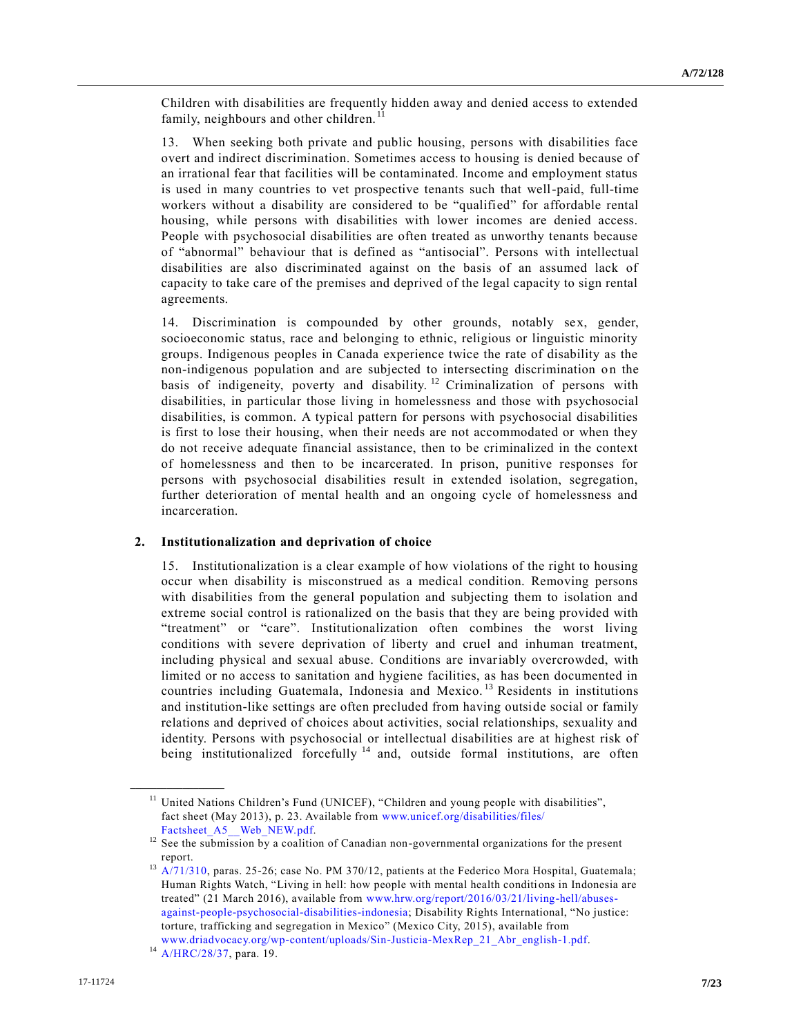Children with disabilities are frequently hidden away and denied access to extended family, neighbours and other children.<sup>11</sup>

13. When seeking both private and public housing, persons with disabilities face overt and indirect discrimination. Sometimes access to housing is denied because of an irrational fear that facilities will be contaminated. Income and employment status is used in many countries to vet prospective tenants such that well-paid, full-time workers without a disability are considered to be "qualified" for affordable rental housing, while persons with disabilities with lower incomes are denied access. People with psychosocial disabilities are often treated as unworthy tenants because of "abnormal" behaviour that is defined as "antisocial". Persons with intellectual disabilities are also discriminated against on the basis of an assumed lack of capacity to take care of the premises and deprived of the legal capacity to sign rental agreements.

14. Discrimination is compounded by other grounds, notably sex, gender, socioeconomic status, race and belonging to ethnic, religious or linguistic minority groups. Indigenous peoples in Canada experience twice the rate of disability as the non-indigenous population and are subjected to intersecting discrimination on the basis of indigeneity, poverty and disability. <sup>12</sup> Criminalization of persons with disabilities, in particular those living in homelessness and those with psychosocial disabilities, is common. A typical pattern for persons with psychosocial disabilities is first to lose their housing, when their needs are not accommodated or when they do not receive adequate financial assistance, then to be criminalized in the context of homelessness and then to be incarcerated. In prison, punitive responses for persons with psychosocial disabilities result in extended isolation, segregation, further deterioration of mental health and an ongoing cycle of homelessness and incarceration.

#### **2. Institutionalization and deprivation of choice**

15. Institutionalization is a clear example of how violations of the right to housing occur when disability is misconstrued as a medical condition. Removing persons with disabilities from the general population and subjecting them to isolation and extreme social control is rationalized on the basis that they are being provided with "treatment" or "care". Institutionalization often combines the worst living conditions with severe deprivation of liberty and cruel and inhuman treatment, including physical and sexual abuse. Conditions are invariably overcrowded, with limited or no access to sanitation and hygiene facilities, as has been documented in countries including Guatemala, Indonesia and Mexico.<sup>13</sup> Residents in institutions and institution-like settings are often precluded from having outside social or family relations and deprived of choices about activities, social relationships, sexuality and identity. Persons with psychosocial or intellectual disabilities are at highest risk of being institutionalized forcefully <sup>14</sup> and, outside formal institutions, are often

<sup>&</sup>lt;sup>11</sup> United Nations Children's Fund (UNICEF), "Children and young people with disabilities", fact sheet (May 2013), p. 23. Available from [www.unicef.org/disabilities/files/](http://www.unicef.org/disabilities/files/Factsheet_A5__Web_NEW.pdf) Factsheet A5 Web NEW.pdf.

<sup>&</sup>lt;sup>12</sup> See the submission by a coalition of Canadian non-governmental organizations for the present report.

<sup>&</sup>lt;sup>13</sup> [A/71/310,](https://undocs.org/A/71/310) paras. 25-26; case No. PM 370/12, patients at the Federico Mora Hospital, Guatemala; Human Rights Watch, "Living in hell: how people with mental health conditions in Indonesia are treated" (21 March 2016), available from [www.hrw.org/report/2016/03/21/living-hell/abuses](https://www.hrw.org/report/2016/03/21/living-hell/abuses-against-people-psychosocial-disabilities-indonesia)[against-people-psychosocial-disabilities-indonesia;](https://www.hrw.org/report/2016/03/21/living-hell/abuses-against-people-psychosocial-disabilities-indonesia) Disability Rights International, "No justice: torture, trafficking and segregation in Mexico" (Mexico City, 2015), available from

[www.driadvocacy.org/wp-content/uploads/Sin-Justicia-MexRep\\_21\\_Abr\\_english-1.pdf.](https://www.driadvocacy.org/wp-content/uploads/Sin-Justicia-MexRep_21_Abr_english-1.pdf) <sup>14</sup> [A/HRC/28/37,](https://undocs.org/A/HRC/28/37) para. 19.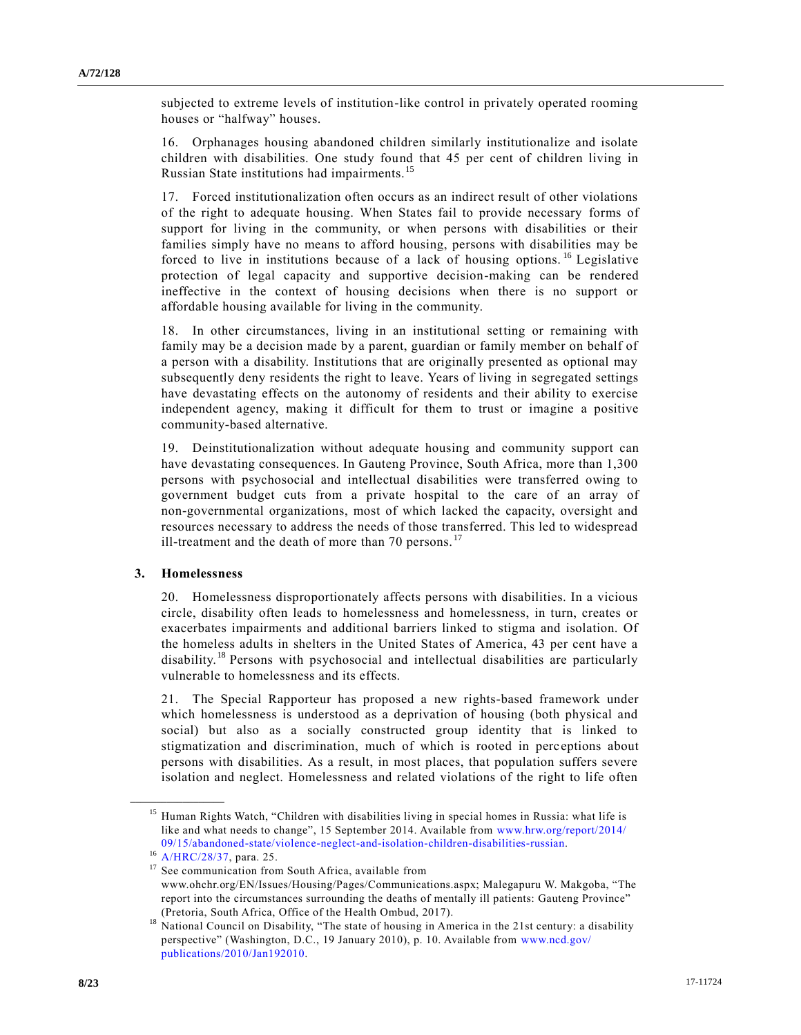subjected to extreme levels of institution-like control in privately operated rooming houses or "halfway" houses.

16. Orphanages housing abandoned children similarly institutionalize and isolate children with disabilities. One study found that 45 per cent of children living in Russian State institutions had impairments. <sup>15</sup>

17. Forced institutionalization often occurs as an indirect result of other violations of the right to adequate housing. When States fail to provide necessary forms of support for living in the community, or when persons with disabilities or their families simply have no means to afford housing, persons with disabilities may be forced to live in institutions because of a lack of housing options. <sup>16</sup> Legislative protection of legal capacity and supportive decision-making can be rendered ineffective in the context of housing decisions when there is no support or affordable housing available for living in the community.

18. In other circumstances, living in an institutional setting or remaining with family may be a decision made by a parent, guardian or family member on behalf of a person with a disability. Institutions that are originally presented as optional may subsequently deny residents the right to leave. Years of living in segregated settings have devastating effects on the autonomy of residents and their ability to exercise independent agency, making it difficult for them to trust or imagine a positive community-based alternative.

19. Deinstitutionalization without adequate housing and community support can have devastating consequences. In Gauteng Province, South Africa, more than 1,300 persons with psychosocial and intellectual disabilities were transferred owing to government budget cuts from a private hospital to the care of an array of non-governmental organizations, most of which lacked the capacity, oversight and resources necessary to address the needs of those transferred. This led to widespread ill-treatment and the death of more than 70 persons. $^{17}$ 

#### **3. Homelessness**

20. Homelessness disproportionately affects persons with disabilities. In a vicious circle, disability often leads to homelessness and homelessness, in turn, creates or exacerbates impairments and additional barriers linked to stigma and isolation. Of the homeless adults in shelters in the United States of America, 43 per cent have a disability.<sup>18</sup> Persons with psychosocial and intellectual disabilities are particularly vulnerable to homelessness and its effects.

21. The Special Rapporteur has proposed a new rights-based framework under which homelessness is understood as a deprivation of housing (both physical and social) but also as a socially constructed group identity that is linked to stigmatization and discrimination, much of which is rooted in perc eptions about persons with disabilities. As a result, in most places, that population suffers severe isolation and neglect. Homelessness and related violations of the right to life often

<sup>&</sup>lt;sup>15</sup> Human Rights Watch, "Children with disabilities living in special homes in Russia: what life is like and what needs to change", 15 September 2014. Available from [www.hrw.org/report/2014/](http://www.hrw.org/report/2014/09/15/abandoned-state/violence-neglect-and-isolation-children-disabilities-russian) [09/15/abandoned-state/violence-neglect-and-isolation-children-disabilities-russian.](http://www.hrw.org/report/2014/09/15/abandoned-state/violence-neglect-and-isolation-children-disabilities-russian)

<sup>16</sup> [A/HRC/28/37,](https://undocs.org/A/HRC/28/37) para. 25.

<sup>&</sup>lt;sup>17</sup> See communication from South Africa, available from www.ohchr.org/EN/Issues/Housing/Pages/Communications.aspx; Malegapuru W. Makgoba, "The report into the circumstances surrounding the deaths of mentally ill patients: Gauteng Province" (Pretoria, South Africa, Office of the Health Ombud, 2017).

<sup>&</sup>lt;sup>18</sup> National Council on Disability, "The state of housing in America in the 21st century: a disability perspective" (Washington, D.C., 19 January 2010), p. 10. Available from [www.ncd.gov/](http://www.ncd.gov/publications/2010/Jan192010) [publications/2010/Jan192010.](http://www.ncd.gov/publications/2010/Jan192010)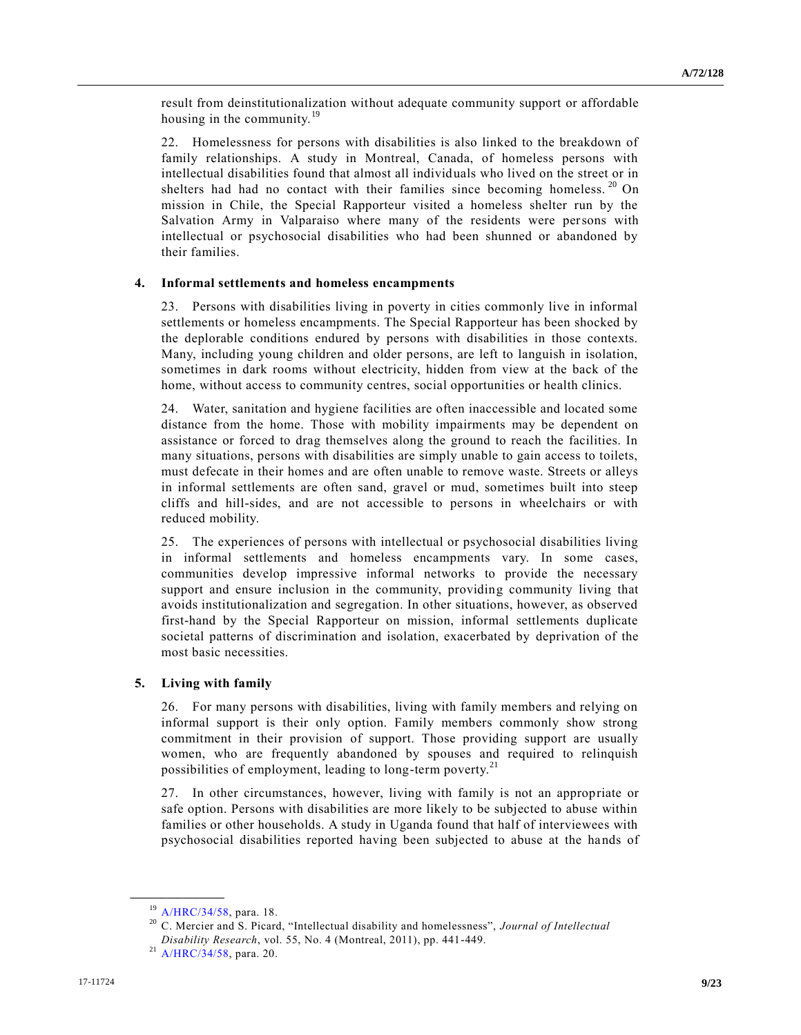result from deinstitutionalization without adequate community support or affordable housing in the community.<sup>19</sup>

22. Homelessness for persons with disabilities is also linked to the breakdown of family relationships. A study in Montreal, Canada, of homeless persons with intellectual disabilities found that almost all individuals who lived on the street or in shelters had had no contact with their families since becoming homeless.<sup>20</sup> On mission in Chile, the Special Rapporteur visited a homeless shelter run by the Salvation Army in Valparaiso where many of the residents were persons with intellectual or psychosocial disabilities who had been shunned or abandoned by their families.

#### **4. Informal settlements and homeless encampments**

23. Persons with disabilities living in poverty in cities commonly live in informal settlements or homeless encampments. The Special Rapporteur has been shocked by the deplorable conditions endured by persons with disabilities in those contexts. Many, including young children and older persons, are left to languish in isolation, sometimes in dark rooms without electricity, hidden from view at the back of the home, without access to community centres, social opportunities or health clinics.

24. Water, sanitation and hygiene facilities are often inaccessible and located some distance from the home. Those with mobility impairments may be dependent on assistance or forced to drag themselves along the ground to reach the facilities. In many situations, persons with disabilities are simply unable to gain access to toilets, must defecate in their homes and are often unable to remove waste. Streets or alleys in informal settlements are often sand, gravel or mud, sometimes built into steep cliffs and hill-sides, and are not accessible to persons in wheelchairs or with reduced mobility.

25. The experiences of persons with intellectual or psychosocial disabilities living in informal settlements and homeless encampments vary. In some cases, communities develop impressive informal networks to provide the necessary support and ensure inclusion in the community, providing community living that avoids institutionalization and segregation. In other situations, however, as observed first-hand by the Special Rapporteur on mission, informal settlements duplicate societal patterns of discrimination and isolation, exacerbated by deprivation of the most basic necessities.

#### **5. Living with family**

26. For many persons with disabilities, living with family members and relying on informal support is their only option. Family members commonly show strong commitment in their provision of support. Those providing support are usually women, who are frequently abandoned by spouses and required to relinquish possibilities of employment, leading to long-term poverty.<sup>21</sup>

27. In other circumstances, however, living with family is not an appropriate or safe option. Persons with disabilities are more likely to be subjected to abuse within families or other households. A study in Uganda found that half of interviewees with psychosocial disabilities reported having been subjected to abuse at the hands of

<sup>19</sup> [A/HRC/34/58,](https://undocs.org/A/HRC/34/58) para. 18.

<sup>20</sup> C. Mercier and S. Picard, "Intellectual disability and homelessness", *Journal of Intellectual Disability Research*, vol. 55, No. 4 (Montreal, 2011), pp. 441-449.

 $^{21}$  [A/HRC/34/58,](https://undocs.org/A/HRC/34/58) para. 20.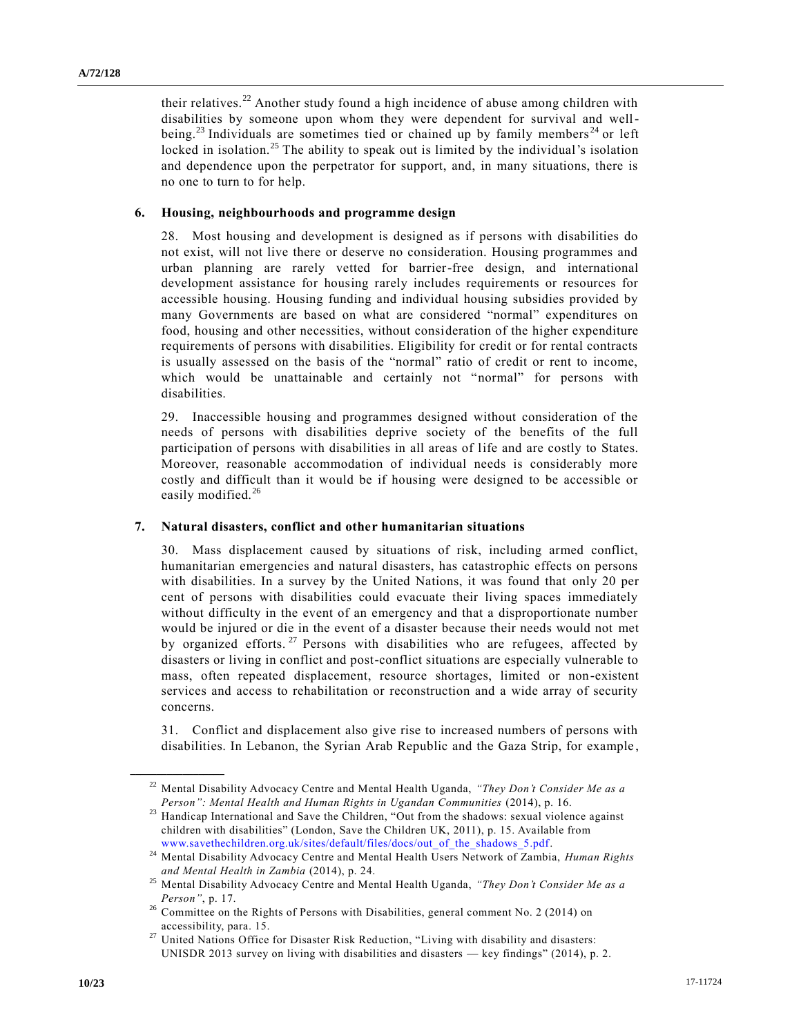their relatives.<sup>22</sup> Another study found a high incidence of abuse among children with disabilities by someone upon whom they were dependent for survival and wellbeing.<sup>23</sup> Individuals are sometimes tied or chained up by family members<sup>24</sup> or left locked in isolation.<sup>25</sup> The ability to speak out is limited by the individual's isolation and dependence upon the perpetrator for support, and, in many situations, there is no one to turn to for help.

#### **6. Housing, neighbourhoods and programme design**

28. Most housing and development is designed as if persons with disabilities do not exist, will not live there or deserve no consideration. Housing programmes and urban planning are rarely vetted for barrier-free design, and international development assistance for housing rarely includes requirements or resources for accessible housing. Housing funding and individual housing subsidies provided by many Governments are based on what are considered "normal" expenditures on food, housing and other necessities, without consideration of the higher expenditure requirements of persons with disabilities. Eligibility for credit or for rental contracts is usually assessed on the basis of the "normal" ratio of credit or rent to income, which would be unattainable and certainly not "normal" for persons with disabilities.

29. Inaccessible housing and programmes designed without consideration of the needs of persons with disabilities deprive society of the benefits of the full participation of persons with disabilities in all areas of life and are costly to States. Moreover, reasonable accommodation of individual needs is considerably more costly and difficult than it would be if housing were designed to be accessible or easily modified.<sup>26</sup>

#### **7. Natural disasters, conflict and other humanitarian situations**

30. Mass displacement caused by situations of risk, including armed conflict, humanitarian emergencies and natural disasters, has catastrophic effects on persons with disabilities. In a survey by the United Nations, it was found that only 20 per cent of persons with disabilities could evacuate their living spaces immediately without difficulty in the event of an emergency and that a disproportionate number would be injured or die in the event of a disaster because their needs would not met by organized efforts.<sup>27</sup> Persons with disabilities who are refugees, affected by disasters or living in conflict and post-conflict situations are especially vulnerable to mass, often repeated displacement, resource shortages, limited or non-existent services and access to rehabilitation or reconstruction and a wide array of security concerns.

31. Conflict and displacement also give rise to increased numbers of persons with disabilities. In Lebanon, the Syrian Arab Republic and the Gaza Strip, for example ,

<sup>22</sup> Mental Disability Advocacy Centre and Mental Health Uganda, *"They Don't Consider Me as a Person": Mental Health and Human Rights in Ugandan Communities* (2014), p. 16.

<sup>&</sup>lt;sup>23</sup> Handicap International and Save the Children, "Out from the shadows: sexual violence against children with disabilities" (London, Save the Children UK, 2011), p. 15. Available from [www.savethechildren.org.uk/sites/default/files/docs/out\\_of\\_the\\_shadows\\_5.pdf.](https://www.savethechildren.org.uk/sites/default/files/docs/out_of_the_shadows_5.pdf)

<sup>&</sup>lt;sup>24</sup> Mental Disability Advocacy Centre and Mental Health Users Network of Zambia, *Human Rights and Mental Health in Zambia* (2014), p. 24.

<sup>25</sup> Mental Disability Advocacy Centre and Mental Health Uganda, *"They Don't Consider Me as a Person"*, p. 17.

<sup>&</sup>lt;sup>26</sup> Committee on the Rights of Persons with Disabilities, general comment No. 2 (2014) on accessibility, para. 15.

United Nations Office for Disaster Risk Reduction, "Living with disability and disasters: UNISDR 2013 survey on living with disabilities and disasters — key findings" (2014), p. 2.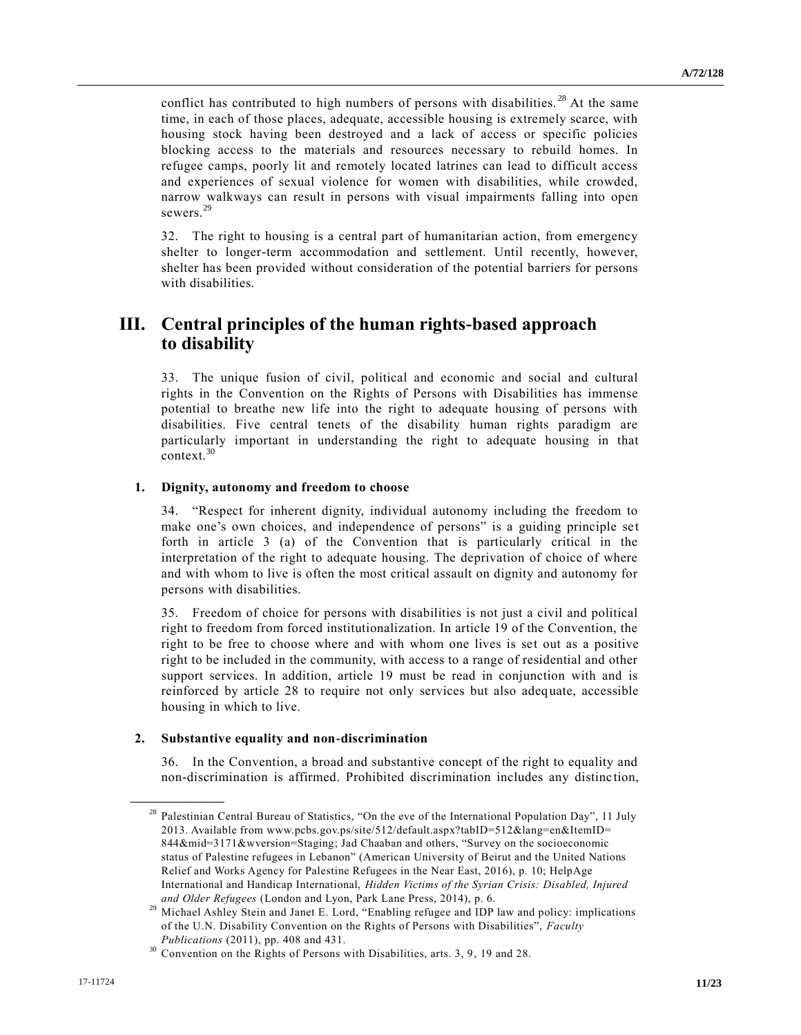conflict has contributed to high numbers of persons with disabilities.<sup>28</sup> At the same time, in each of those places, adequate, accessible housing is extremely scarce, with housing stock having been destroyed and a lack of access or specific policies blocking access to the materials and resources necessary to rebuild homes. In refugee camps, poorly lit and remotely located latrines can lead to difficult access and experiences of sexual violence for women with disabilities, while crowded, narrow walkways can result in persons with visual impairments falling into open sewers<sup>29</sup>

32. The right to housing is a central part of humanitarian action, from emergency shelter to longer-term accommodation and settlement. Until recently, however, shelter has been provided without consideration of the potential barriers for persons with disabilities.

## **III. Central principles of the human rights-based approach to disability**

33. The unique fusion of civil, political and economic and social and cultural rights in the Convention on the Rights of Persons with Disabilities has immense potential to breathe new life into the right to adequate housing of persons with disabilities. Five central tenets of the disability human rights paradigm are particularly important in understanding the right to adequate housing in that context.<sup>30</sup>

#### **1. Dignity, autonomy and freedom to choose**

34. "Respect for inherent dignity, individual autonomy including the freedom to make one's own choices, and independence of persons" is a guiding principle set forth in article 3 (a) of the Convention that is particularly critical in the interpretation of the right to adequate housing. The deprivation of choice of where and with whom to live is often the most critical assault on dignity and autonomy for persons with disabilities.

35. Freedom of choice for persons with disabilities is not just a civil and political right to freedom from forced institutionalization. In article 19 of the Convention, the right to be free to choose where and with whom one lives is set out as a positive right to be included in the community, with access to a range of residential and other support services. In addition, article 19 must be read in conjunction with and is reinforced by article 28 to require not only services but also adequate, accessible housing in which to live.

#### **2. Substantive equality and non-discrimination**

**\_\_\_\_\_\_\_\_\_\_\_\_\_\_\_\_\_\_**

36. In the Convention, a broad and substantive concept of the right to equality and non-discrimination is affirmed. Prohibited discrimination includes any distinc tion,

<sup>&</sup>lt;sup>28</sup> Palestinian Central Bureau of Statistics, "On the eve of the International Population Day", 11 July 2013. Available from [www.pcbs.gov.ps/site/512/default.aspx?tabID=512&lang=en&ItemID=](http://www.pcbs.gov.ps/site/512/default.aspx?tabID=512&lang=en&ItemID=844&mid=3171&wversion=Staging) [844&mid=3171&wversion=Staging;](http://www.pcbs.gov.ps/site/512/default.aspx?tabID=512&lang=en&ItemID=844&mid=3171&wversion=Staging) Jad Chaaban and others, "Survey on the socioeconomic status of Palestine refugees in Lebanon" (American University of Beirut and the United Nations Relief and Works Agency for Palestine Refugees in the Near East, 2016), p. 10; HelpAge International and Handicap International, *Hidden Victims of the Syrian Crisis: Disabled, Injured and Older Refugees* (London and Lyon, Park Lane Press, 2014), p. 6.

<sup>&</sup>lt;sup>29</sup> Michael Ashley Stein and Janet E. Lord, "Enabling refugee and IDP law and policy: implications of the U.N. Disability Convention on the Rights of Persons with Disabilities", *Faculty Publications* (2011), pp. 408 and 431.

<sup>&</sup>lt;sup>30</sup> Convention on the Rights of Persons with Disabilities, arts. 3, 9, 19 and 28.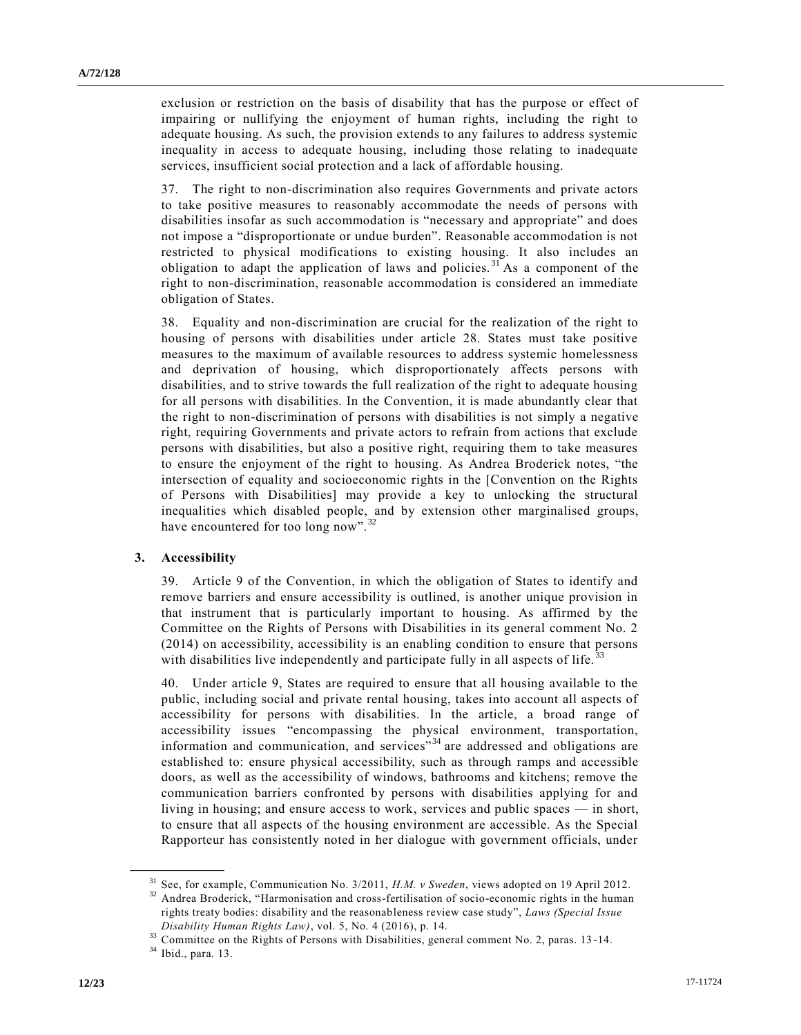exclusion or restriction on the basis of disability that has the purpose or effect of impairing or nullifying the enjoyment of human rights, including the right to adequate housing. As such, the provision extends to any failures to address systemic inequality in access to adequate housing, including those relating to inadequate services, insufficient social protection and a lack of affordable housing.

37. The right to non-discrimination also requires Governments and private actors to take positive measures to reasonably accommodate the needs of persons with disabilities insofar as such accommodation is "necessary and appropriate" and does not impose a "disproportionate or undue burden". Reasonable accommodation is not restricted to physical modifications to existing housing. It also includes an obligation to adapt the application of laws and policies.<sup>31</sup> As a component of the right to non-discrimination, reasonable accommodation is considered an immediate obligation of States.

38. Equality and non-discrimination are crucial for the realization of the right to housing of persons with disabilities under article 28. States must take positive measures to the maximum of available resources to address systemic homelessness and deprivation of housing, which disproportionately affects persons with disabilities, and to strive towards the full realization of the right to adequate housing for all persons with disabilities. In the Convention, it is made abundantly clear that the right to non-discrimination of persons with disabilities is not simply a negative right, requiring Governments and private actors to refrain from actions that exclude persons with disabilities, but also a positive right, requiring them to take measures to ensure the enjoyment of the right to housing. As Andrea Broderick notes, "the intersection of equality and socioeconomic rights in the [Convention on the Rights of Persons with Disabilities] may provide a key to unlocking the structural inequalities which disabled people, and by extension other marginalised groups, have encountered for too long now".<sup>3</sup>

#### **3. Accessibility**

39. Article 9 of the Convention, in which the obligation of States to identify and remove barriers and ensure accessibility is outlined, is another unique provision in that instrument that is particularly important to housing. As affirmed by the Committee on the Rights of Persons with Disabilities in its general comment No. 2 (2014) on accessibility, accessibility is an enabling condition to ensure that persons with disabilities live independently and participate fully in all aspects of life.

40. Under article 9, States are required to ensure that all housing available to the public, including social and private rental housing, takes into account all aspects of accessibility for persons with disabilities. In the article, a broad range of accessibility issues "encompassing the physical environment, transportation, information and communication, and services<sup>"34</sup> are addressed and obligations are established to: ensure physical accessibility, such as through ramps and accessible doors, as well as the accessibility of windows, bathrooms and kitchens; remove the communication barriers confronted by persons with disabilities applying for and living in housing; and ensure access to work, services and public spaces — in short, to ensure that all aspects of the housing environment are accessible. As the Special Rapporteur has consistently noted in her dialogue with government officials, under

<sup>31</sup> See, for example, Communication No. 3/2011, *H.M. v Sweden*, views adopted on 19 April 2012.

<sup>&</sup>lt;sup>32</sup> Andrea Broderick, "Harmonisation and cross-fertilisation of socio-economic rights in the human rights treaty bodies: disability and the reasonableness review case study", *Laws (Special Issue Disability Human Rights Law)*, vol. 5, No. 4 (2016), p. 14.

<sup>&</sup>lt;sup>33</sup> Committee on the Rights of Persons with Disabilities, general comment No. 2, paras. 13-14.

<sup>34</sup> Ibid., para. 13.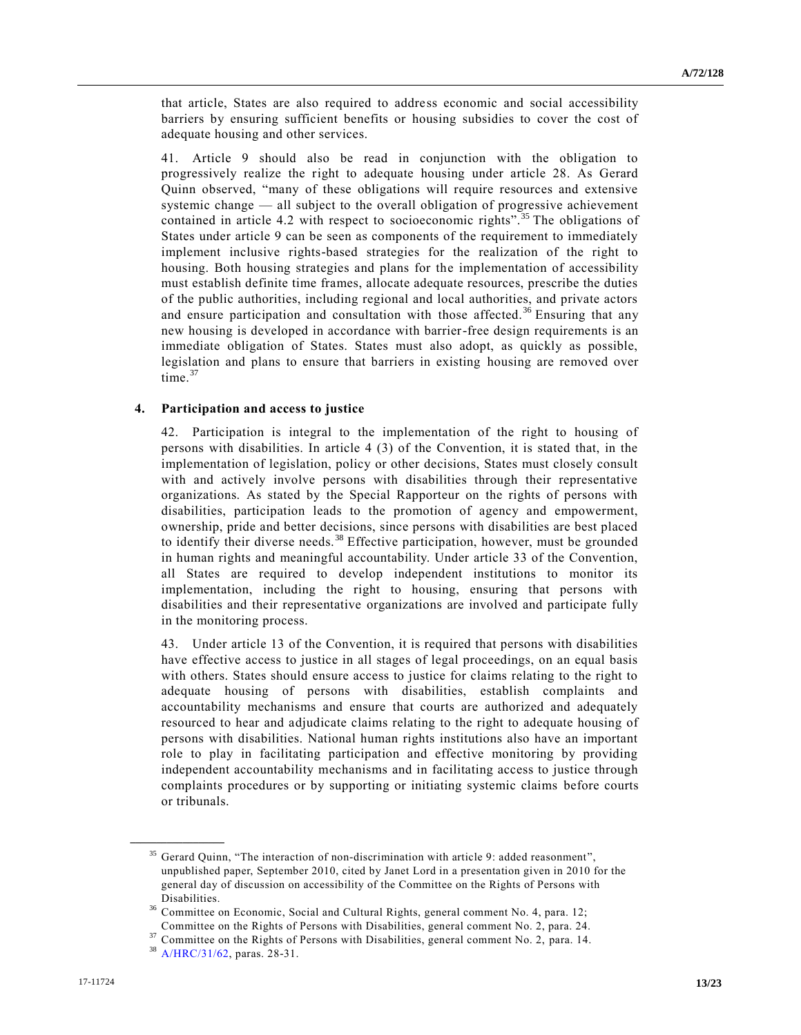that article, States are also required to address economic and social accessibility barriers by ensuring sufficient benefits or housing subsidies to cover the cost of adequate housing and other services.

41. Article 9 should also be read in conjunction with the obligation to progressively realize the right to adequate housing under article 28. As Gerard Quinn observed, "many of these obligations will require resources and extensive systemic change — all subject to the overall obligation of progressive achievement contained in article 4.2 with respect to socioeconomic rights".<sup>35</sup> The obligations of States under article 9 can be seen as components of the requirement to immediately implement inclusive rights-based strategies for the realization of the right to housing. Both housing strategies and plans for the implementation of accessibility must establish definite time frames, allocate adequate resources, prescribe the duties of the public authorities, including regional and local authorities, and private actors and ensure participation and consultation with those affected.<sup>36</sup> Ensuring that any new housing is developed in accordance with barrier-free design requirements is an immediate obligation of States. States must also adopt, as quickly as possible, legislation and plans to ensure that barriers in existing housing are removed over time. $37$ 

#### **4. Participation and access to justice**

42. Participation is integral to the implementation of the right to housing of persons with disabilities. In article 4 (3) of the Convention, it is stated that, in the implementation of legislation, policy or other decisions, States must closely consult with and actively involve persons with disabilities through their representative organizations. As stated by the Special Rapporteur on the rights of persons with disabilities, participation leads to the promotion of agency and empowerment, ownership, pride and better decisions, since persons with disabilities are best placed to identify their diverse needs.<sup>38</sup> Effective participation, however, must be grounded in human rights and meaningful accountability. Under article 33 of the Convention, all States are required to develop independent institutions to monitor its implementation, including the right to housing, ensuring that persons with disabilities and their representative organizations are involved and participate fully in the monitoring process.

43. Under article 13 of the Convention, it is required that persons with disabilities have effective access to justice in all stages of legal proceedings, on an equal basis with others. States should ensure access to justice for claims relating to the right to adequate housing of persons with disabilities, establish complaints and accountability mechanisms and ensure that courts are authorized and adequately resourced to hear and adjudicate claims relating to the right to adequate housing of persons with disabilities. National human rights institutions also have an important role to play in facilitating participation and effective monitoring by providing independent accountability mechanisms and in facilitating access to justice through complaints procedures or by supporting or initiating systemic claims before courts or tribunals.

<sup>&</sup>lt;sup>35</sup> Gerard Quinn, "The interaction of non-discrimination with article 9: added reasonment", unpublished paper, September 2010, cited by Janet Lord in a presentation given in 2010 for the general day of discussion on accessibility of the Committee on the Rights of Persons with Disabilities.

<sup>36</sup> Committee on Economic, Social and Cultural Rights, general comment No. 4, para. 12; Committee on the Rights of Persons with Disabilities, general comment No. 2, para. 24.

Committee on the Rights of Persons with Disabilities, general comment No. 2, para. 14.

<sup>38</sup> [A/HRC/31/62,](https://undocs.org/A/HRC/31/62) paras. 28-31.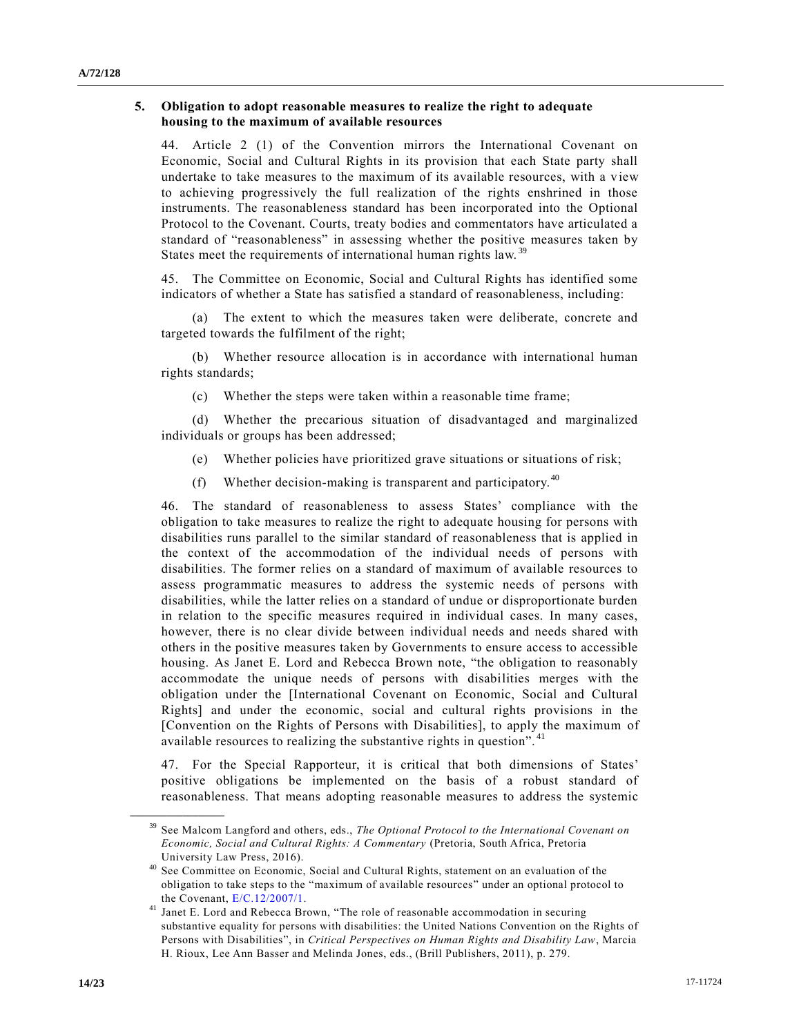#### **5. Obligation to adopt reasonable measures to realize the right to adequate housing to the maximum of available resources**

44. Article 2 (1) of the Convention mirrors the International Covenant on Economic, Social and Cultural Rights in its provision that each State party shall undertake to take measures to the maximum of its available resources, with a v iew to achieving progressively the full realization of the rights enshrined in those instruments. The reasonableness standard has been incorporated into the Optional Protocol to the Covenant. Courts, treaty bodies and commentators have articulated a standard of "reasonableness" in assessing whether the positive measures taken by States meet the requirements of international human rights law.<sup>39</sup>

45. The Committee on Economic, Social and Cultural Rights has identified some indicators of whether a State has satisfied a standard of reasonableness, including:

The extent to which the measures taken were deliberate, concrete and targeted towards the fulfilment of the right;

(b) Whether resource allocation is in accordance with international human rights standards;

(c) Whether the steps were taken within a reasonable time frame;

(d) Whether the precarious situation of disadvantaged and marginalized individuals or groups has been addressed;

- (e) Whether policies have prioritized grave situations or situations of risk;
- (f) Whether decision-making is transparent and participatory.  $40$

46. The standard of reasonableness to assess States' compliance with the obligation to take measures to realize the right to adequate housing for persons with disabilities runs parallel to the similar standard of reasonableness that is applied in the context of the accommodation of the individual needs of persons with disabilities. The former relies on a standard of maximum of available resources to assess programmatic measures to address the systemic needs of persons with disabilities, while the latter relies on a standard of undue or disproportionate burden in relation to the specific measures required in individual cases. In many cases, however, there is no clear divide between individual needs and needs shared with others in the positive measures taken by Governments to ensure access to accessible housing. As Janet E. Lord and Rebecca Brown note, "the obligation to reasonably accommodate the unique needs of persons with disabilities merges with the obligation under the [International Covenant on Economic, Social and Cultural Rights] and under the economic, social and cultural rights provisions in the [Convention on the Rights of Persons with Disabilities], to apply the maximum of available resources to realizing the substantive rights in question".<sup>41</sup>

47. For the Special Rapporteur, it is critical that both dimensions of States' positive obligations be implemented on the basis of a robust standard of reasonableness. That means adopting reasonable measures to address the systemic

<sup>39</sup> See Malcom Langford and others, eds., *The Optional Protocol to the International Covenant on Economic, Social and Cultural Rights: A Commentary* (Pretoria, South Africa, Pretoria University Law Press, 2016).

<sup>&</sup>lt;sup>40</sup> See Committee on Economic, Social and Cultural Rights, statement on an evaluation of the obligation to take steps to the "maximum of available resources" under an optional protocol to the Covenant, [E/C.12/2007/1.](https://undocs.org/E/C.12/2007/1)

Janet E. Lord and Rebecca Brown, "The role of reasonable accommodation in securing substantive equality for persons with disabilities: the United Nations Convention on the Rights of Persons with Disabilities", in *Critical Perspectives on Human Rights and Disability Law*, Marcia H. Rioux, Lee Ann Basser and Melinda Jones, eds., (Brill Publishers, 2011), p. 279.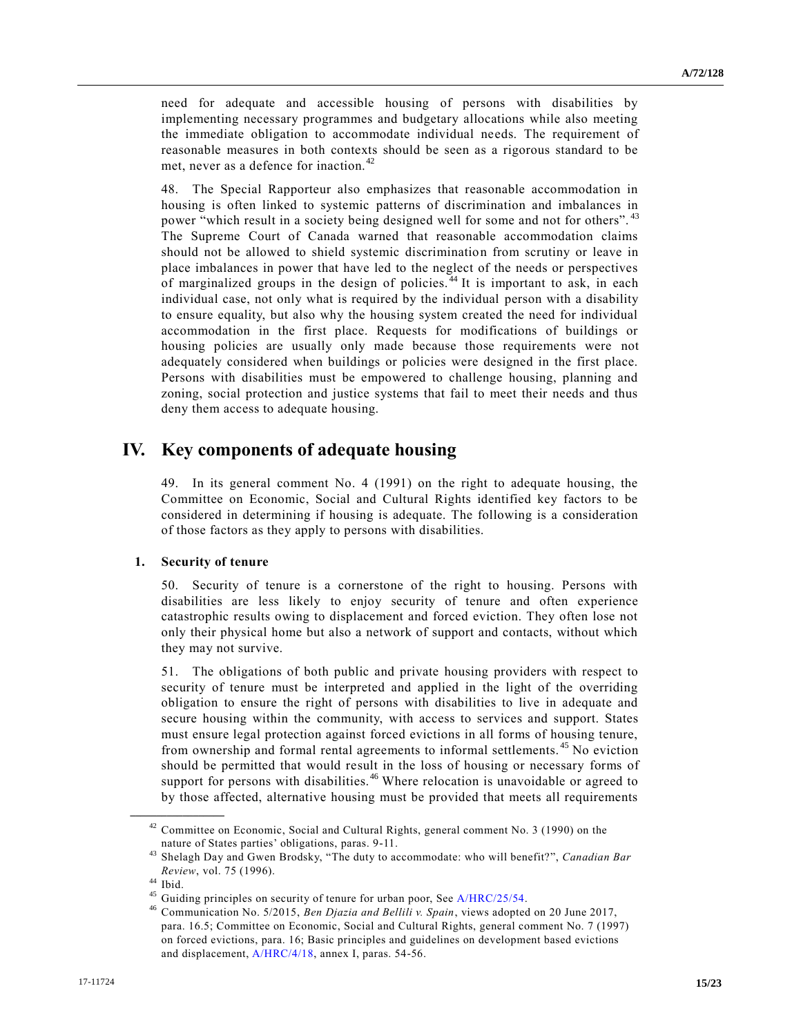need for adequate and accessible housing of persons with disabilities by implementing necessary programmes and budgetary allocations while also meeting the immediate obligation to accommodate individual needs. The requirement of reasonable measures in both contexts should be seen as a rigorous standard to be met, never as a defence for inaction. <sup>42</sup>

48. The Special Rapporteur also emphasizes that reasonable accommodation in housing is often linked to systemic patterns of discrimination and imbalances in power "which result in a society being designed well for some and not for others".<sup>43</sup> The Supreme Court of Canada warned that reasonable accommodation claims should not be allowed to shield systemic discrimination from scrutiny or leave in place imbalances in power that have led to the neglect of the needs or perspectives of marginalized groups in the design of policies.<sup>44</sup> It is important to ask, in each individual case, not only what is required by the individual person with a disability to ensure equality, but also why the housing system created the need for individual accommodation in the first place. Requests for modifications of buildings or housing policies are usually only made because those requirements were not adequately considered when buildings or policies were designed in the first place. Persons with disabilities must be empowered to challenge housing, planning and zoning, social protection and justice systems that fail to meet their needs and thus deny them access to adequate housing.

## **IV. Key components of adequate housing**

49. In its general comment No. 4 (1991) on the right to adequate housing, the Committee on Economic, Social and Cultural Rights identified key factors to be considered in determining if housing is adequate. The following is a consideration of those factors as they apply to persons with disabilities.

#### **1. Security of tenure**

50. Security of tenure is a cornerstone of the right to housing. Persons with disabilities are less likely to enjoy security of tenure and often experience catastrophic results owing to displacement and forced eviction. They often lose not only their physical home but also a network of support and contacts, without which they may not survive.

51. The obligations of both public and private housing providers with respect to security of tenure must be interpreted and applied in the light of the overriding obligation to ensure the right of persons with disabilities to live in adequate and secure housing within the community, with access to services and support. States must ensure legal protection against forced evictions in all forms of housing tenure, from ownership and formal rental agreements to informal settlements. <sup>45</sup> No eviction should be permitted that would result in the loss of housing or necessary forms of support for persons with disabilities.<sup>46</sup> Where relocation is unavoidable or agreed to by those affected, alternative housing must be provided that meets all requirements

Committee on Economic, Social and Cultural Rights, general comment No. 3 (1990) on the nature of States parties' obligations, paras. 9-11.

<sup>43</sup> Shelagh Day and Gwen Brodsky, "The duty to accommodate: who will benefit?", *Canadian Bar Review*, vol. 75 (1996).

 $44$  Ibid.

<sup>&</sup>lt;sup>45</sup> Guiding principles on security of tenure for urban poor, See [A/HRC/25/54.](https://undocs.org/A/HRC/25/54)

<sup>46</sup> Communication No. 5/2015, *Ben Djazia and Bellili v. Spain*, views adopted on 20 June 2017, para. 16.5; Committee on Economic, Social and Cultural Rights, general comment No. 7 (1997) on forced evictions, para. 16; Basic principles and guidelines on development based evictions and displacement[, A/HRC/4/18,](https://undocs.org/A/HRC/4/18) annex I, paras. 54-56.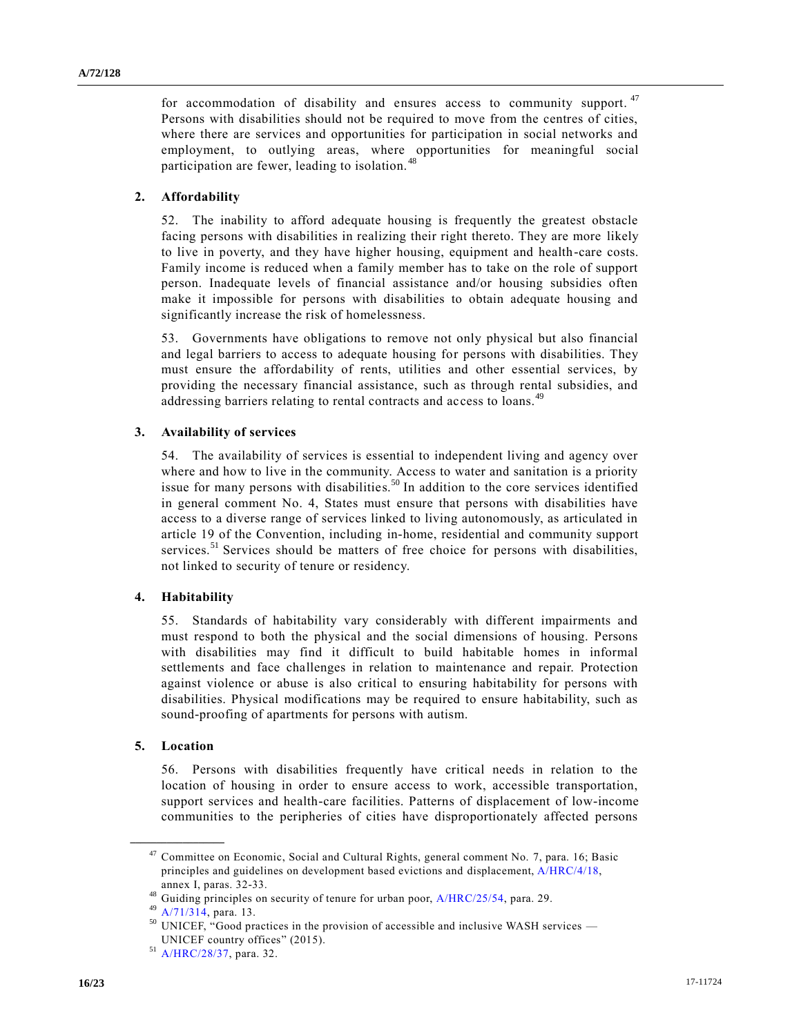for accommodation of disability and ensures access to community support.  $47$ Persons with disabilities should not be required to move from the centres of cities, where there are services and opportunities for participation in social networks and employment, to outlying areas, where opportunities for meaningful social participation are fewer, leading to isolation. <sup>48</sup>

#### **2. Affordability**

52. The inability to afford adequate housing is frequently the greatest obstacle facing persons with disabilities in realizing their right thereto. They are more likely to live in poverty, and they have higher housing, equipment and health-care costs. Family income is reduced when a family member has to take on the role of support person. Inadequate levels of financial assistance and/or housing subsidies often make it impossible for persons with disabilities to obtain adequate housing and significantly increase the risk of homelessness.

53. Governments have obligations to remove not only physical but also financial and legal barriers to access to adequate housing for persons with disabilities. They must ensure the affordability of rents, utilities and other essential services, by providing the necessary financial assistance, such as through rental subsidies, and addressing barriers relating to rental contracts and access to loans.<sup>49</sup>

#### **3. Availability of services**

54. The availability of services is essential to independent living and agency over where and how to live in the community. Access to water and sanitation is a priority issue for many persons with disabilities.<sup>50</sup> In addition to the core services identified in general comment No. 4, States must ensure that persons with disabilities have access to a diverse range of services linked to living autonomously, as articulated in article 19 of the Convention, including in-home, residential and community support services. $51$  Services should be matters of free choice for persons with disabilities, not linked to security of tenure or residency.

#### **4. Habitability**

55. Standards of habitability vary considerably with different impairments and must respond to both the physical and the social dimensions of housing. Persons with disabilities may find it difficult to build habitable homes in informal settlements and face challenges in relation to maintenance and repair. Protection against violence or abuse is also critical to ensuring habitability for persons with disabilities. Physical modifications may be required to ensure habitability, such as sound-proofing of apartments for persons with autism.

#### **5. Location**

**\_\_\_\_\_\_\_\_\_\_\_\_\_\_\_\_\_\_**

56. Persons with disabilities frequently have critical needs in relation to the location of housing in order to ensure access to work, accessible transportation, support services and health-care facilities. Patterns of displacement of low-income communities to the peripheries of cities have disproportionately affected persons

<sup>47</sup> Committee on Economic, Social and Cultural Rights, general comment No. 7, para. 16; Basic principles and guidelines on development based evictions and displacement, [A/HRC/4/18,](https://undocs.org/A/HRC/4/18) annex I, paras. 32-33.

<sup>&</sup>lt;sup>48</sup> Guiding principles on security of tenure for urban poor, [A/HRC/25/54,](https://undocs.org/A/HRC/25/54) para. 29.

<sup>49</sup> [A/71/314,](https://undocs.org/A/71/314) para. 13.

 $50$  UNICEF, "Good practices in the provision of accessible and inclusive WASH services — UNICEF country offices" (2015).

<sup>51</sup> [A/HRC/28/37,](https://undocs.org/A/HRC/28/37) para. 32.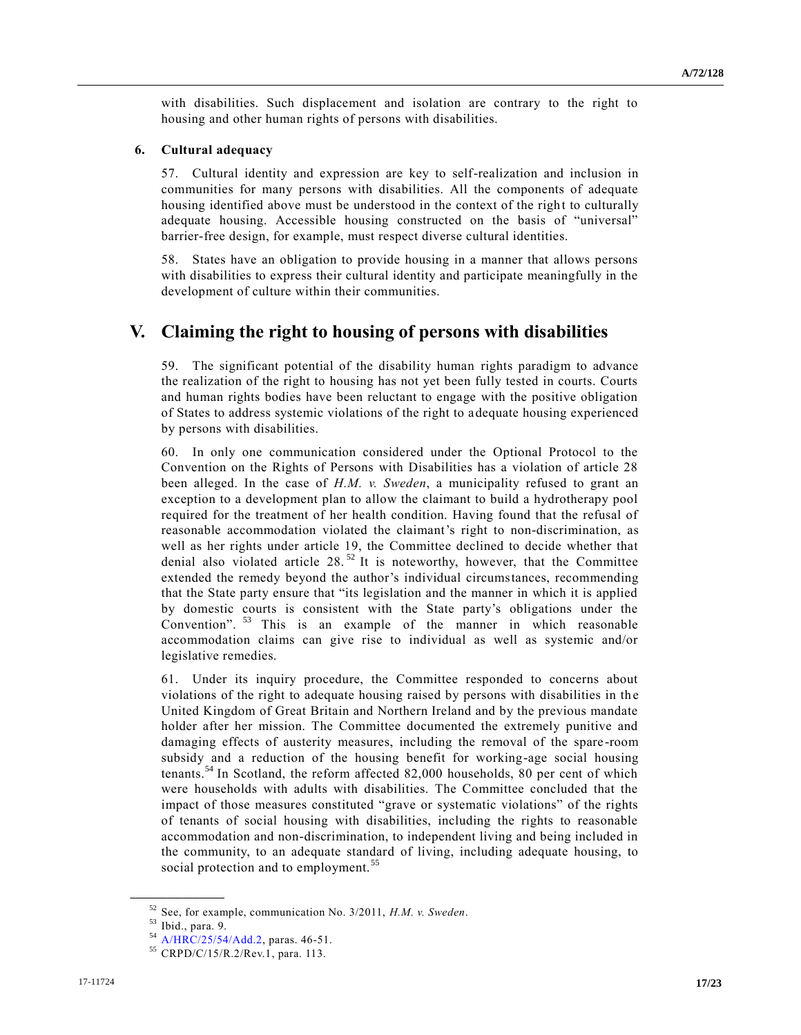with disabilities. Such displacement and isolation are contrary to the right to housing and other human rights of persons with disabilities.

#### **6. Cultural adequacy**

57. Cultural identity and expression are key to self-realization and inclusion in communities for many persons with disabilities. All the components of adequate housing identified above must be understood in the context of the right to culturally adequate housing. Accessible housing constructed on the basis of "universal" barrier-free design, for example, must respect diverse cultural identities.

58. States have an obligation to provide housing in a manner that allows persons with disabilities to express their cultural identity and participate meaningfully in the development of culture within their communities.

### **V. Claiming the right to housing of persons with disabilities**

59. The significant potential of the disability human rights paradigm to advance the realization of the right to housing has not yet been fully tested in courts. Courts and human rights bodies have been reluctant to engage with the positive obligation of States to address systemic violations of the right to adequate housing experienced by persons with disabilities.

60. In only one communication considered under the Optional Protocol to the Convention on the Rights of Persons with Disabilities has a violation of article 28 been alleged. In the case of *H.M. v. Sweden*, a municipality refused to grant an exception to a development plan to allow the claimant to build a hydrotherapy pool required for the treatment of her health condition. Having found that the refusal of reasonable accommodation violated the claimant's right to non-discrimination, as well as her rights under article 19, the Committee declined to decide whether that denial also violated article 28. <sup>52</sup> It is noteworthy, however, that the Committee extended the remedy beyond the author's individual circumstances, recommending that the State party ensure that "its legislation and the manner in which it is applied by domestic courts is consistent with the State party's obligations under the Convention".<sup>53</sup> This is an example of the manner in which reasonable accommodation claims can give rise to individual as well as systemic and/or legislative remedies.

61. Under its inquiry procedure, the Committee responded to concerns about violations of the right to adequate housing raised by persons with disabilities in the United Kingdom of Great Britain and Northern Ireland and by the previous mandate holder after her mission. The Committee documented the extremely punitive and damaging effects of austerity measures, including the removal of the spare -room subsidy and a reduction of the housing benefit for working-age social housing tenants.<sup>54</sup> In Scotland, the reform affected 82,000 households, 80 per cent of which were households with adults with disabilities. The Committee concluded that the impact of those measures constituted "grave or systematic violations" of the rights of tenants of social housing with disabilities, including the rights to reasonable accommodation and non-discrimination, to independent living and being included in the community, to an adequate standard of living, including adequate housing, to social protection and to employment.<sup>35</sup>

<sup>52</sup> See, for example, communication No. 3/2011, *H.M. v. Sweden*.

<sup>53</sup> Ibid., para. 9.

<sup>54</sup> [A/HRC/25/54/Add.2,](https://undocs.org/A/HRC/25/54/Add.2) paras. 46-51.

<sup>55</sup> CRPD/C/15/R.2/Rev.1, para. 113.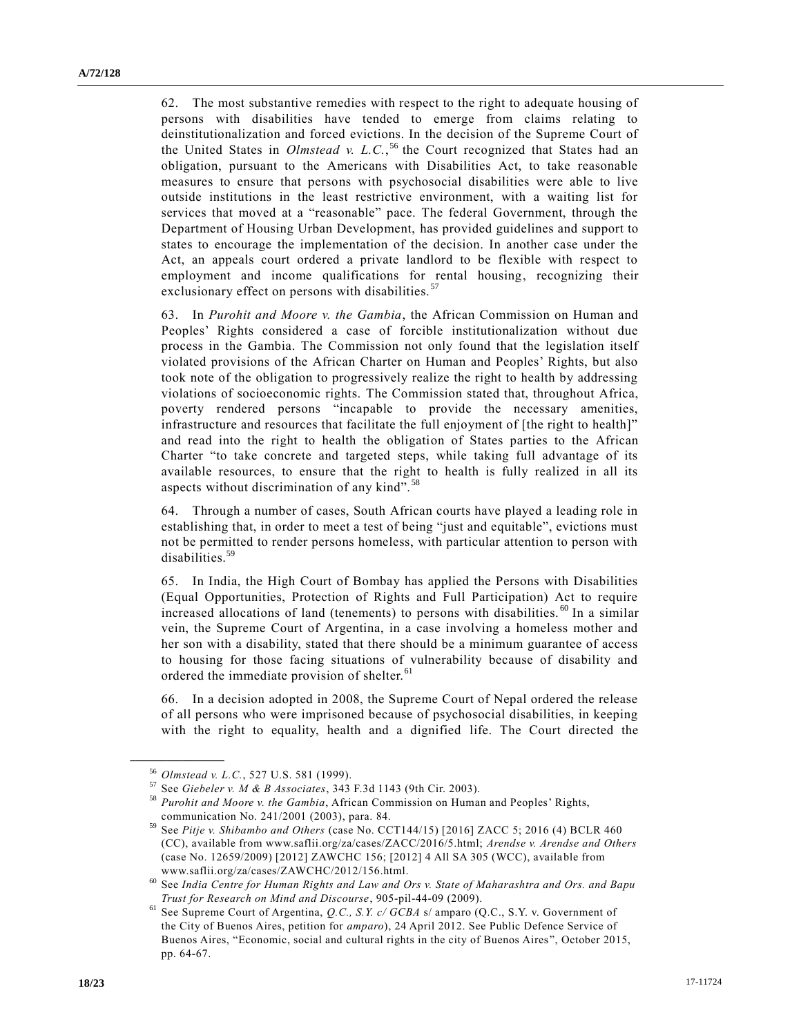62. The most substantive remedies with respect to the right to adequate housing of persons with disabilities have tended to emerge from claims relating to deinstitutionalization and forced evictions. In the decision of the Supreme Court of the United States in *Olmstead v. L.C.*, <sup>56</sup> the Court recognized that States had an obligation, pursuant to the Americans with Disabilities Act, to take reasonable measures to ensure that persons with psychosocial disabilities were able to live outside institutions in the least restrictive environment, with a waiting list for services that moved at a "reasonable" pace. The federal Government, through the Department of Housing Urban Development, has provided guidelines and support to states to encourage the implementation of the decision. In another case under the Act, an appeals court ordered a private landlord to be flexible with respect to employment and income qualifications for rental housing, recognizing their exclusionary effect on persons with disabilities.<sup>57</sup>

63. In *Purohit and Moore v. the Gambia*, the African Commission on Human and Peoples' Rights considered a case of forcible institutionalization without due process in the Gambia. The Commission not only found that the legislation itself violated provisions of the African Charter on Human and Peoples' Rights, but also took note of the obligation to progressively realize the right to health by addressing violations of socioeconomic rights. The Commission stated that, throughout Africa, poverty rendered persons "incapable to provide the necessary amenities, infrastructure and resources that facilitate the full enjoyment of [the right to health]" and read into the right to health the obligation of States parties to the African Charter "to take concrete and targeted steps, while taking full advantage of its available resources, to ensure that the right to health is fully realized in all its aspects without discrimination of any kind". <sup>58</sup>

64. Through a number of cases, South African courts have played a leading role in establishing that, in order to meet a test of being "just and equitable", evictions must not be permitted to render persons homeless, with particular attention to person with disabilities.<sup>59</sup>

65. In India, the High Court of Bombay has applied the Persons with Disabilities (Equal Opportunities, Protection of Rights and Full Participation) Act to require increased allocations of land (tenements) to persons with disabilities.<sup>60</sup> In a similar vein, the Supreme Court of Argentina, in a case involving a homeless mother and her son with a disability, stated that there should be a minimum guarantee of access to housing for those facing situations of vulnerability because of disability and ordered the immediate provision of shelter.<sup>61</sup>

66. In a decision adopted in 2008, the Supreme Court of Nepal ordered the release of all persons who were imprisoned because of psychosocial disabilities, in keeping with the right to equality, health and a dignified life. The Court directed the

<sup>56</sup> *Olmstead v. L.C.*, 527 U.S. 581 (1999).

<sup>57</sup> See *Giebeler v. M & B Associates*, 343 F.3d 1143 (9th Cir. 2003).

<sup>58</sup> *Purohit and Moore v. the Gambia*, African Commission on Human and Peoples' Rights, communication No. 241/2001 (2003), para. 84.

<sup>59</sup> See *Pitje v. Shibambo and Others* (case No. CCT144/15) [2016] ZACC 5; 2016 (4) BCLR 460 (CC), available from www.saflii.org/za/cases/ZACC/2016/5.html; *Arendse v. Arendse and Others* (case No. 12659/2009) [2012] ZAWCHC 156; [2012] 4 All SA 305 (WCC), available from www.saflii.org/za/cases/ZAWCHC/2012/156.html.

<sup>60</sup> See *India Centre for Human Rights and Law and Ors v. State of Maharashtra and Ors. and Bapu Trust for Research on Mind and Discourse*, 905-pil-44-09 (2009).

<sup>61</sup> See Supreme Court of Argentina, *Q.C., S.Y. c/ GCBA* s/ amparo (Q.C., S.Y. v. Government of the City of Buenos Aires, petition for *amparo*), 24 April 2012. See Public Defence Service of Buenos Aires, "Economic, social and cultural rights in the city of Buenos Aires", October 2015, pp. 64-67.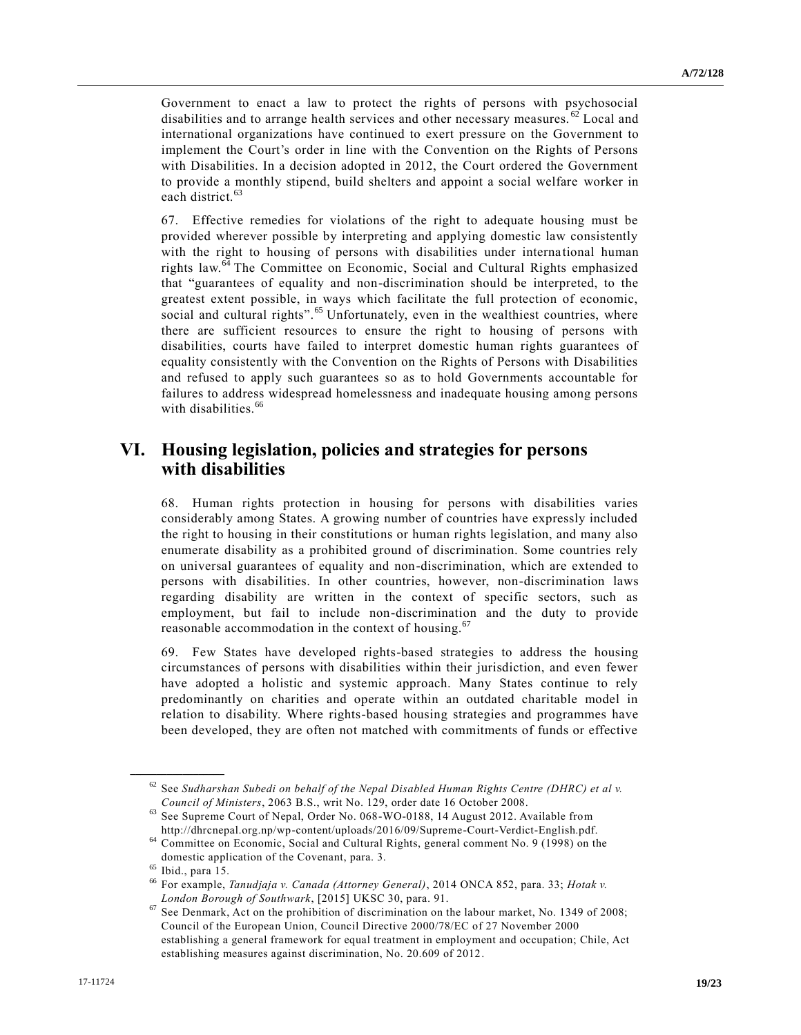Government to enact a law to protect the rights of persons with psychosocial disabilities and to arrange health services and other necessary measures.  $^{62}$  Local and international organizations have continued to exert pressure on the Government to implement the Court's order in line with the Convention on the Rights of Persons with Disabilities. In a decision adopted in 2012, the Court ordered the Government to provide a monthly stipend, build shelters and appoint a social welfare worker in each district.<sup>63</sup>

67. Effective remedies for violations of the right to adequate housing must be provided wherever possible by interpreting and applying domestic law consistently with the right to housing of persons with disabilities under interna tional human rights law.<sup>64</sup> The Committee on Economic, Social and Cultural Rights emphasized that "guarantees of equality and non-discrimination should be interpreted, to the greatest extent possible, in ways which facilitate the full protection of economic, social and cultural rights".<sup>65</sup> Unfortunately, even in the wealthiest countries, where there are sufficient resources to ensure the right to housing of persons with disabilities, courts have failed to interpret domestic human rights guarantees of equality consistently with the Convention on the Rights of Persons with Disabilities and refused to apply such guarantees so as to hold Governments accountable for failures to address widespread homelessness and inadequate housing among persons with disabilities.<sup>66</sup>

## **VI. Housing legislation, policies and strategies for persons with disabilities**

68. Human rights protection in housing for persons with disabilities varies considerably among States. A growing number of countries have expressly included the right to housing in their constitutions or human rights legislation, and many also enumerate disability as a prohibited ground of discrimination. Some countries rely on universal guarantees of equality and non-discrimination, which are extended to persons with disabilities. In other countries, however, non-discrimination laws regarding disability are written in the context of specific sectors, such as employment, but fail to include non-discrimination and the duty to provide reasonable accommodation in the context of housing.<sup>67</sup>

69. Few States have developed rights-based strategies to address the housing circumstances of persons with disabilities within their jurisdiction, and even fewer have adopted a holistic and systemic approach. Many States continue to rely predominantly on charities and operate within an outdated charitable model in relation to disability. Where rights-based housing strategies and programmes have been developed, they are often not matched with commitments of funds or effective

 $62$  See Sudharshan Subedi on behalf of the Nepal Disabled Human Rights Centre (DHRC) et al v. *Council of Ministers*, 2063 B.S., writ No. 129, order date 16 October 2008.

<sup>63</sup> See Supreme Court of Nepal, Order No. 068-WO-0188, 14 August 2012. Available from http://dhrcnepal.org.np/wp-content/uploads/2016/09/Supreme-Court-Verdict-English.pdf.

<sup>64</sup> Committee on Economic, Social and Cultural Rights, general comment No. 9 (1998) on the domestic application of the Covenant, para. 3.

 $\frac{65}{66}$  Ibid., para 15.

<sup>66</sup> For example, *Tanudjaja v. Canada (Attorney General)*, 2014 ONCA 852, para. 33; *Hotak v. London Borough of Southwark*, [2015] UKSC 30, para. 91.

<sup>&</sup>lt;sup>67</sup> See Denmark, Act on the prohibition of discrimination on the labour market, No. 1349 of 2008; Council of the European Union, Council Directive 2000/78/EC of 27 November 2000 establishing a general framework for equal treatment in employment and occupation; Chile, Act establishing measures against discrimination, No. 20.609 of 2012.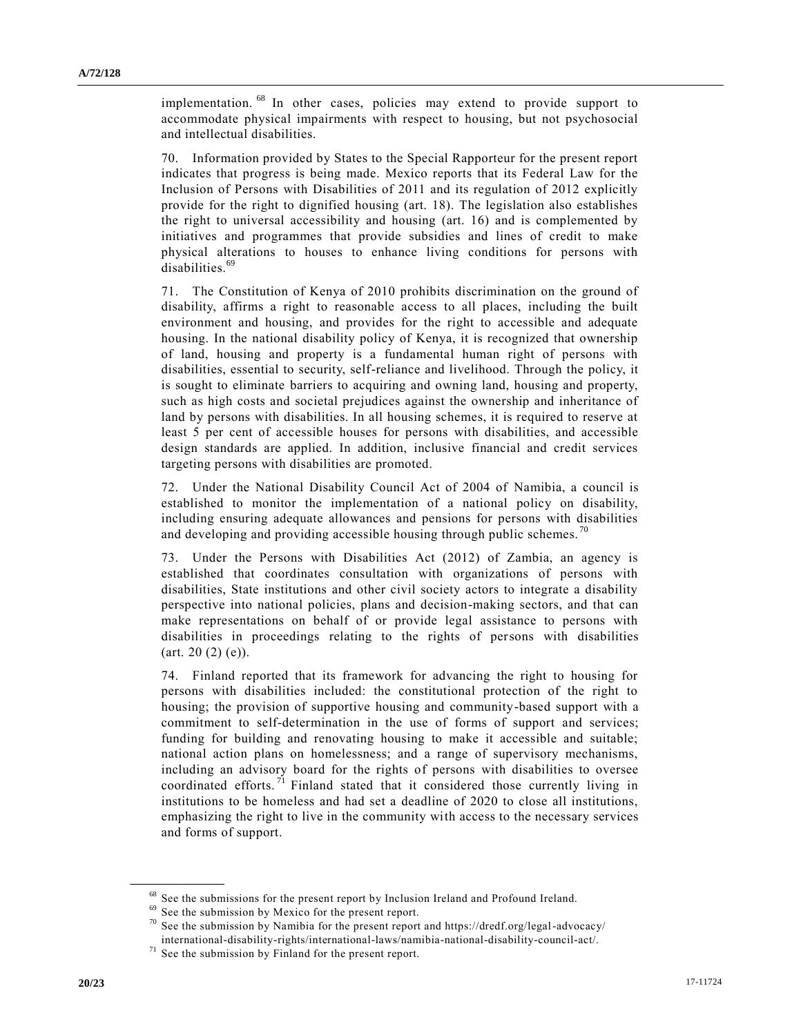implementation. <sup>68</sup> In other cases, policies may extend to provide support to accommodate physical impairments with respect to housing, but not psychosocial and intellectual disabilities.

70. Information provided by States to the Special Rapporteur for the present report indicates that progress is being made. Mexico reports that its Federal Law for the Inclusion of Persons with Disabilities of 2011 and its regulation of 2012 explicitly provide for the right to dignified housing (art. 18). The legislation also establishes the right to universal accessibility and housing (art. 16) and is complemented by initiatives and programmes that provide subsidies and lines of credit to make physical alterations to houses to enhance living conditions for persons with disabilities.<sup>69</sup>

71. The Constitution of Kenya of 2010 prohibits discrimination on the ground of disability, affirms a right to reasonable access to all places, including the built environment and housing, and provides for the right to accessible and adequate housing. In the national disability policy of Kenya, it is recognized that ownership of land, housing and property is a fundamental human right of persons with disabilities, essential to security, self-reliance and livelihood. Through the policy, it is sought to eliminate barriers to acquiring and owning land, housing and property, such as high costs and societal prejudices against the ownership and inheritance of land by persons with disabilities. In all housing schemes, it is required to reserve at least 5 per cent of accessible houses for persons with disabilities, and accessible design standards are applied. In addition, inclusive financial and credit services targeting persons with disabilities are promoted.

72. Under the National Disability Council Act of 2004 of Namibia, a council is established to monitor the implementation of a national policy on disability, including ensuring adequate allowances and pensions for persons with disabilities and developing and providing accessible housing through public schemes.  $\alpha$ 

73. Under the Persons with Disabilities Act (2012) of Zambia, an agency is established that coordinates consultation with organizations of persons with disabilities, State institutions and other civil society actors to integrate a disability perspective into national policies, plans and decision-making sectors, and that can make representations on behalf of or provide legal assistance to persons with disabilities in proceedings relating to the rights of persons with disabilities  $(art. 20 (2) (e)).$ 

74. Finland reported that its framework for advancing the right to housing for persons with disabilities included: the constitutional protection of the right to housing; the provision of supportive housing and community-based support with a commitment to self-determination in the use of forms of support and services; funding for building and renovating housing to make it accessible and suitable; national action plans on homelessness; and a range of supervisory mechanisms, including an advisory board for the rights of persons with disabilities to oversee coordinated efforts.<sup>71</sup> Finland stated that it considered those currently living in institutions to be homeless and had set a deadline of 2020 to close all institutions, emphasizing the right to live in the community with access to the necessary services and forms of support.

<sup>&</sup>lt;sup>68</sup> See the submissions for the present report by Inclusion Ireland and Profound Ireland.

<sup>69</sup> See the submission by Mexico for the present report.

 $70$  See the submission by Namibia for the present report and https://dredf.org/legal-advocacy/ international-disability-rights/international-laws/namibia-national-disability-council-act/.

 $71$  See the submission by Finland for the present report.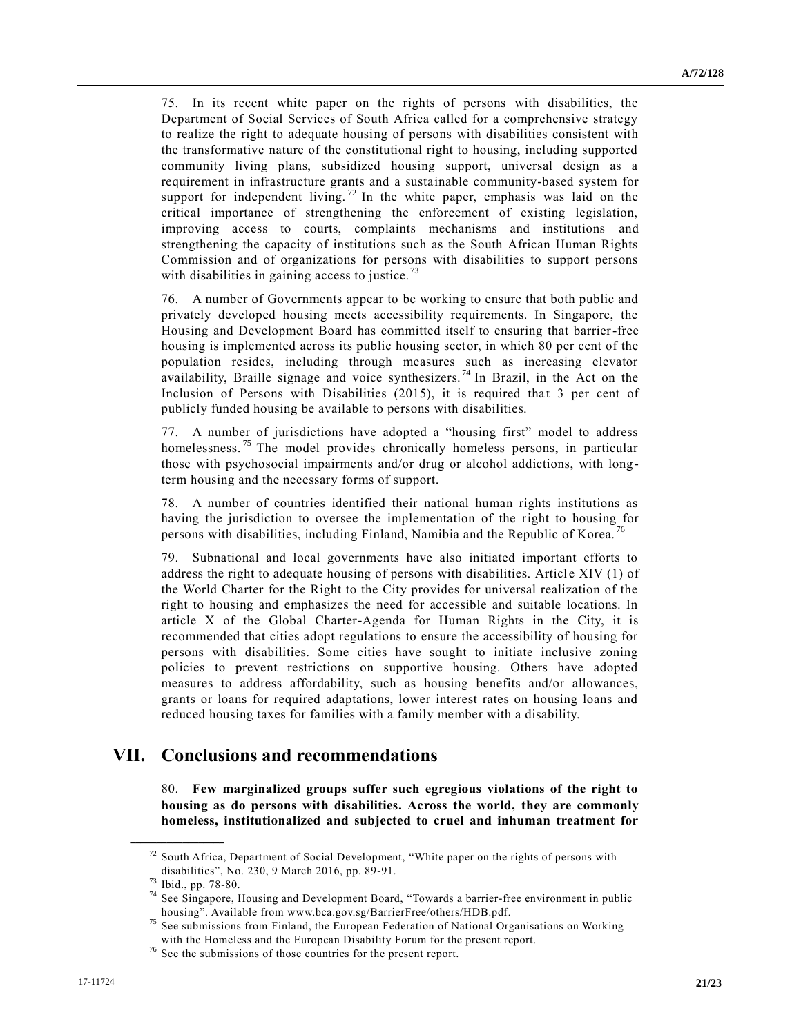75. In its recent white paper on the rights of persons with disabilities, the Department of Social Services of South Africa called for a comprehensive strategy to realize the right to adequate housing of persons with disabilities consistent with the transformative nature of the constitutional right to housing, including supported community living plans, subsidized housing support, universal design as a requirement in infrastructure grants and a sustainable community-based system for support for independent living.<sup>72</sup> In the white paper, emphasis was laid on the critical importance of strengthening the enforcement of existing legislation, improving access to courts, complaints mechanisms and institutions and strengthening the capacity of institutions such as the South African Human Rights Commission and of organizations for persons with disabilities to support persons with disabilities in gaining access to justice.<sup>73</sup>

76. A number of Governments appear to be working to ensure that both public and privately developed housing meets accessibility requirements. In Singapore, the Housing and Development Board has committed itself to ensuring that barrier-free housing is implemented across its public housing sector, in which 80 per cent of the population resides, including through measures such as increasing elevator availability, Braille signage and voice synthesizers.<sup>74</sup> In Brazil, in the Act on the Inclusion of Persons with Disabilities (2015), it is required that 3 per cent of publicly funded housing be available to persons with disabilities.

77. A number of jurisdictions have adopted a "housing first" model to address homelessness.<sup>75</sup> The model provides chronically homeless persons, in particular those with psychosocial impairments and/or drug or alcohol addictions, with longterm housing and the necessary forms of support.

78. A number of countries identified their national human rights institutions as having the jurisdiction to oversee the implementation of the right to housing for persons with disabilities, including Finland, Namibia and the Republic of Korea. <sup>76</sup>

79. Subnational and local governments have also initiated important efforts to address the right to adequate housing of persons with disabilities. Article XIV (1) of the World Charter for the Right to the City provides for universal realization of the right to housing and emphasizes the need for accessible and suitable locations. In article X of the Global Charter-Agenda for Human Rights in the City, it is recommended that cities adopt regulations to ensure the accessibility of housing for persons with disabilities. Some cities have sought to initiate inclusive zoning policies to prevent restrictions on supportive housing. Others have adopted measures to address affordability, such as housing benefits and/or allowances, grants or loans for required adaptations, lower interest rates on housing loans and reduced housing taxes for families with a family member with a disability.

### **VII. Conclusions and recommendations**

80. **Few marginalized groups suffer such egregious violations of the right to housing as do persons with disabilities. Across the world, they are commonly homeless, institutionalized and subjected to cruel and inhuman treatment for** 

 $72$  South Africa, Department of Social Development, "White paper on the rights of persons with disabilities", No. 230, 9 March 2016, pp. 89-91.

<sup>73</sup> Ibid., pp. 78-80.

<sup>&</sup>lt;sup>74</sup> See Singapore, Housing and Development Board, "Towards a barrier-free environment in public housing". Available from www.bca.gov.sg/BarrierFree/others/HDB.pdf.

<sup>&</sup>lt;sup>75</sup> See submissions from Finland, the European Federation of National Organisations on Working with the Homeless and the European Disability Forum for the present report.

<sup>76</sup> See the submissions of those countries for the present report.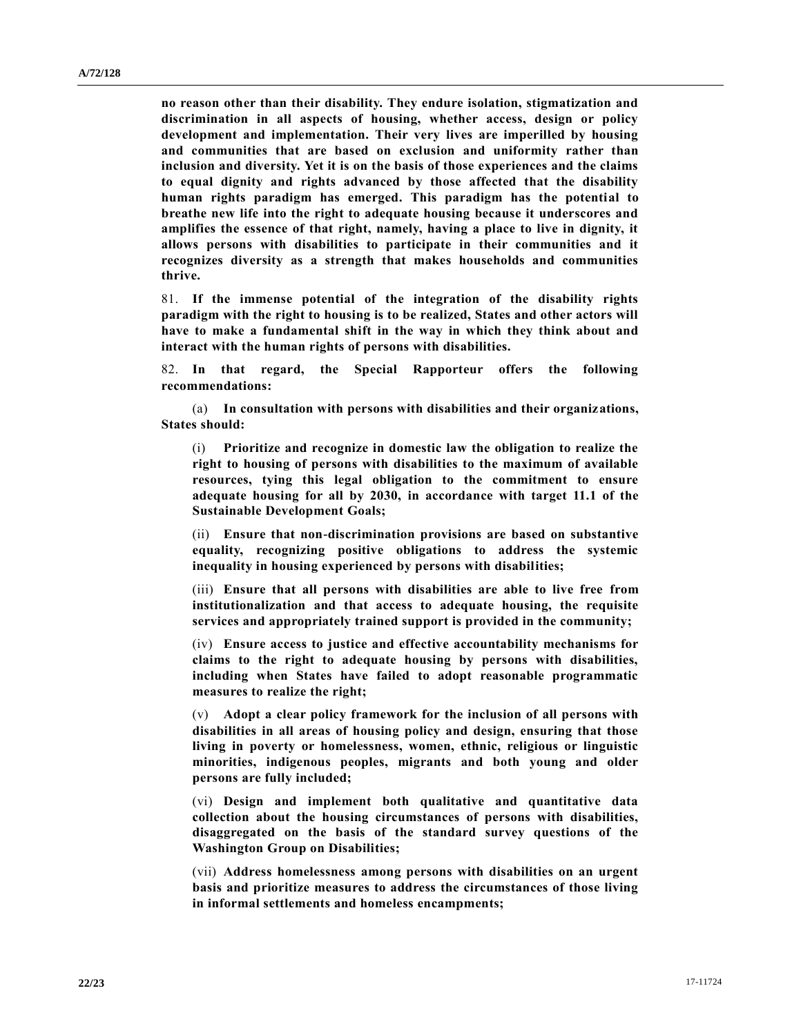**no reason other than their disability. They endure isolation, stigmatization and discrimination in all aspects of housing, whether access, design or policy development and implementation. Their very lives are imperilled by housing and communities that are based on exclusion and uniformity rather than inclusion and diversity. Yet it is on the basis of those experiences and the claims to equal dignity and rights advanced by those affected that the disability human rights paradigm has emerged. This paradigm has the potential to breathe new life into the right to adequate housing because it underscores and amplifies the essence of that right, namely, having a place to live in dignity, it allows persons with disabilities to participate in their communities and it recognizes diversity as a strength that makes households and communities thrive.**

81. **If the immense potential of the integration of the disability rights paradigm with the right to housing is to be realized, States and other actors will have to make a fundamental shift in the way in which they think about and interact with the human rights of persons with disabilities.** 

82. **In that regard, the Special Rapporteur offers the following recommendations:**

(a) **In consultation with persons with disabilities and their organizations, States should:**

(i) **Prioritize and recognize in domestic law the obligation to realize the right to housing of persons with disabilities to the maximum of available resources, tying this legal obligation to the commitment to ensure adequate housing for all by 2030, in accordance with target 11.1 of the Sustainable Development Goals;**

(ii) **Ensure that non-discrimination provisions are based on substantive equality, recognizing positive obligations to address the systemic inequality in housing experienced by persons with disabilities;**

(iii) **Ensure that all persons with disabilities are able to live free from institutionalization and that access to adequate housing, the requisite services and appropriately trained support is provided in the community;**

(iv) **Ensure access to justice and effective accountability mechanisms for claims to the right to adequate housing by persons with disabilities, including when States have failed to adopt reasonable programmatic measures to realize the right;**

(v) **Adopt a clear policy framework for the inclusion of all persons with disabilities in all areas of housing policy and design, ensuring that those living in poverty or homelessness, women, ethnic, religious or linguistic minorities, indigenous peoples, migrants and both young and older persons are fully included;**

(vi) **Design and implement both qualitative and quantitative data collection about the housing circumstances of persons with disabilities, disaggregated on the basis of the standard survey questions of the Washington Group on Disabilities;**

(vii) **Address homelessness among persons with disabilities on an urgent basis and prioritize measures to address the circumstances of those living in informal settlements and homeless encampments;**